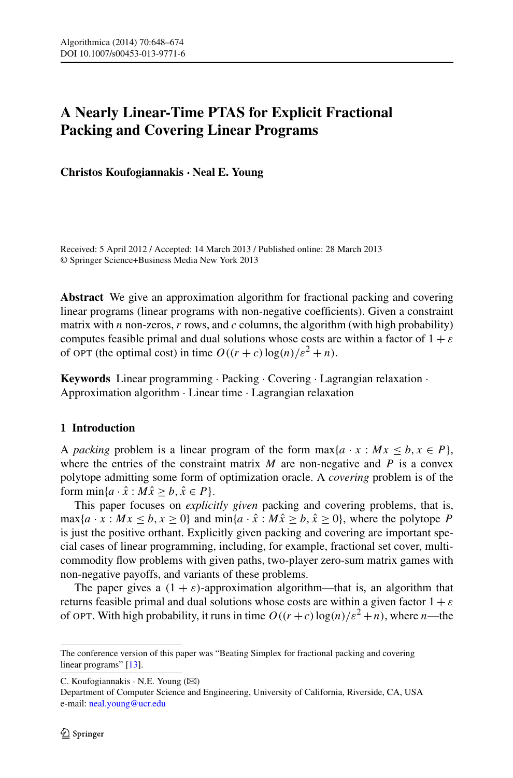# **A Nearly Linear-Time PTAS for Explicit Fractional Packing and Covering Linear Programs**

**Christos Koufogiannakis · Neal E. Young**

Received: 5 April 2012 / Accepted: 14 March 2013 / Published online: 28 March 2013 © Springer Science+Business Media New York 2013

**Abstract** We give an approximation algorithm for fractional packing and covering linear programs (linear programs with non-negative coefficients). Given a constraint matrix with *n* non-zeros, *r* rows, and *c* columns, the algorithm (with high probability) computes feasible primal and dual solutions whose costs are within a factor of 1 + *ε* of OPT (the optimal cost) in time  $O((r + c) \log(n)/\varepsilon^2 + n)$ .

**Keywords** Linear programming · Packing · Covering · Lagrangian relaxation · Approximation algorithm · Linear time · Lagrangian relaxation

## **1 Introduction**

A *packing* problem is a linear program of the form  $\max\{a \cdot x : Mx \le b, x \in P\}$ , where the entries of the constraint matrix  $M$  are non-negative and  $P$  is a convex polytope admitting some form of optimization oracle. A *covering* problem is of the form  $\min\{a \cdot \hat{x} : M\hat{x} > b, \hat{x} \in P\}.$ 

This paper focuses on *explicitly given* packing and covering problems, that is,  $\max\{a \cdot x : Mx \le b, x \ge 0\}$  and  $\min\{a \cdot \hat{x} : M\hat{x} \ge b, \hat{x} \ge 0\}$ , where the polytope *P* is just the positive orthant. Explicitly given packing and covering are important special cases of linear programming, including, for example, fractional set cover, multicommodity flow problems with given paths, two-player zero-sum matrix games with non-negative payoffs, and variants of these problems.

The paper gives a  $(1 + \varepsilon)$ -approximation algorithm—that is, an algorithm that returns feasible primal and dual solutions whose costs are within a given factor  $1 + \varepsilon$ of OPT. With high probability, it runs in time  $O((r+c)\log(n)/\epsilon^2+n)$ , where *n*—the

The conference version of this paper was "Beating Simplex for fractional packing and covering linear programs" [\[13](#page-26-0)].

C. Koufogiannakis · N.E. Young ( $\boxtimes$ )

Department of Computer Science and Engineering, University of California, Riverside, CA, USA e-mail: [neal.young@ucr.edu](mailto:neal.young@ucr.edu)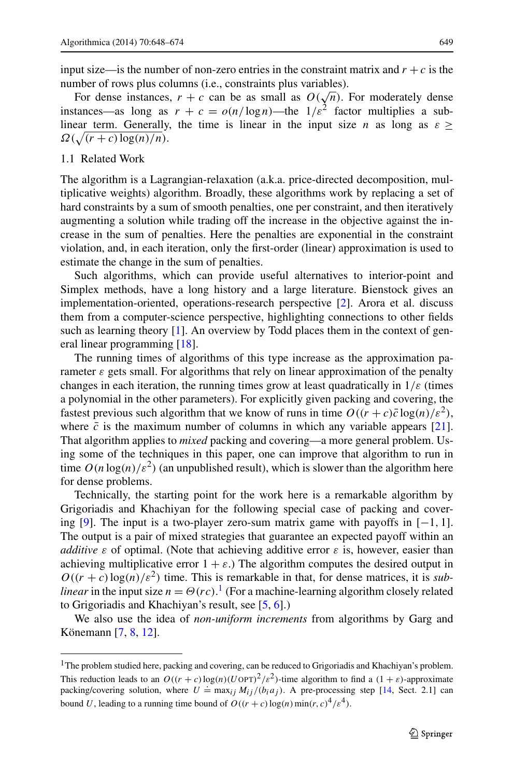input size—is the number of non-zero entries in the constraint matrix and  $r + c$  is the number of rows plus columns (i.e., constraints plus variables).

For dense instances,  $r + c$  can be as small as  $O(\sqrt{n})$ . For moderately dense instances—as long as  $r + c = o(n/\log n)$ —the  $1/\varepsilon^2$  factor multiplies a sublinear term. Generally, the time is linear in the input size *n* as long as  $\varepsilon \geq$  $\Omega(\sqrt{(r+c)}\log(n)/n)$ .

#### 1.1 Related Work

The algorithm is a Lagrangian-relaxation (a.k.a. price-directed decomposition, multiplicative weights) algorithm. Broadly, these algorithms work by replacing a set of hard constraints by a sum of smooth penalties, one per constraint, and then iteratively augmenting a solution while trading off the increase in the objective against the increase in the sum of penalties. Here the penalties are exponential in the constraint violation, and, in each iteration, only the first-order (linear) approximation is used to estimate the change in the sum of penalties.

Such algorithms, which can provide useful alternatives to interior-point and Simplex methods, have a long history and a large literature. Bienstock gives an implementation-oriented, operations-research perspective [[2\]](#page-26-1). Arora et al. discuss them from a computer-science perspective, highlighting connections to other fields such as learning theory [\[1](#page-26-2)]. An overview by Todd places them in the context of general linear programming [\[18](#page-26-3)].

The running times of algorithms of this type increase as the approximation parameter  $\varepsilon$  gets small. For algorithms that rely on linear approximation of the penalty changes in each iteration, the running times grow at least quadratically in  $1/\varepsilon$  (times a polynomial in the other parameters). For explicitly given packing and covering, the fastest previous such algorithm that we know of runs in time  $O((r + c)\bar{c}\log(n)/\epsilon^2)$ , where  $\bar{c}$  is the maximum number of columns in which any variable appears [[21\]](#page-26-4). That algorithm applies to *mixed* packing and covering—a more general problem. Using some of the techniques in this paper, one can improve that algorithm to run in time  $O(n \log(n)/\epsilon^2)$  (an unpublished result), which is slower than the algorithm here for dense problems.

Technically, the starting point for the work here is a remarkable algorithm by Grigoriadis and Khachiyan for the following special case of packing and covering [[9\]](#page-26-5). The input is a two-player zero-sum matrix game with payoffs in [−1*,* 1]. The output is a pair of mixed strategies that guarantee an expected payoff within an *additive*  $\varepsilon$  of optimal. (Note that achieving additive error  $\varepsilon$  is, however, easier than achieving multiplicative error  $1 + \varepsilon$ .) The algorithm computes the desired output in  $O((r + c) \log(n)/\varepsilon^2)$  time. This is remarkable in that, for dense matrices, it is *sublinear* in the input size  $n = \Theta(rc)$ .<sup>[1](#page-1-0)</sup> (For a machine-learning algorithm closely related to Grigoriadis and Khachiyan's result, see [[5,](#page-26-6) [6\]](#page-26-7).)

<span id="page-1-0"></span>We also use the idea of *non-uniform increments* from algorithms by Garg and Könemann [\[7](#page-26-8), [8](#page-26-9), [12](#page-26-10)].

<sup>&</sup>lt;sup>1</sup>The problem studied here, packing and covering, can be reduced to Grigoriadis and Khachiyan's problem. This reduction leads to an  $O((r + c) \log(n) (U \text{OPT})^2 / \varepsilon^2)$ -time algorithm to find a  $(1 + \varepsilon)$ -approximate packing/covering solution, where  $U = \max_{ij} M_{ij} / (b_i a_j)$ . A pre-processing step [[14,](#page-26-11) Sect. 2.1] can bound *U*, leading to a running time bound of  $O((r + c) \log(n) \min(r, c)^{4}/\varepsilon^{4})$ .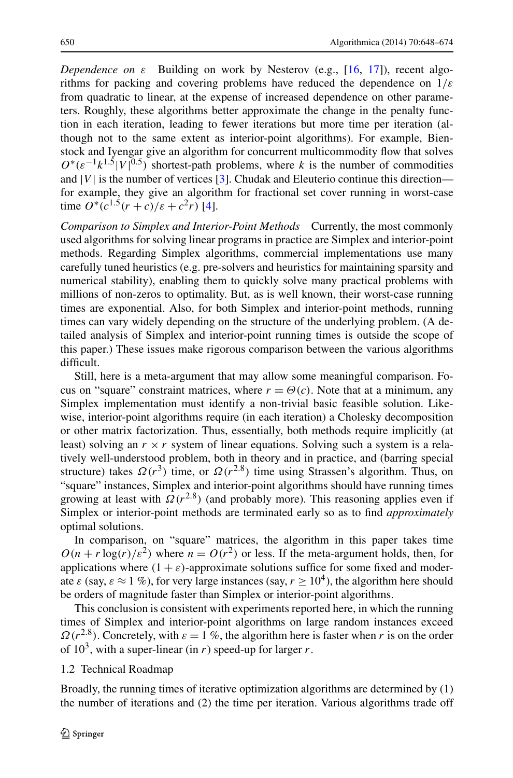*Dependence on*  $\varepsilon$  Building on work by Nesterov (e.g., [\[16](#page-26-12), [17](#page-26-13)]), recent algorithms for packing and covering problems have reduced the dependence on 1*/ε* from quadratic to linear, at the expense of increased dependence on other parameters. Roughly, these algorithms better approximate the change in the penalty function in each iteration, leading to fewer iterations but more time per iteration (although not to the same extent as interior-point algorithms). For example, Bienstock and Iyengar give an algorithm for concurrent multicommodity flow that solves  $O<sup>*</sup>(\varepsilon^{-1}k^{1.5}|V|^{0.5})$  shortest-path problems, where *k* is the number of commodities and  $|V|$  is the number of vertices [[3\]](#page-26-14). Chudak and Eleuterio continue this direction for example, they give an algorithm for fractional set cover running in worst-case time  $O^*(c^{1.5}(r+c)/\varepsilon+c^2r)$  [\[4](#page-26-15)].

*Comparison to Simplex and Interior-Point Methods* Currently, the most commonly used algorithms for solving linear programs in practice are Simplex and interior-point methods. Regarding Simplex algorithms, commercial implementations use many carefully tuned heuristics (e.g. pre-solvers and heuristics for maintaining sparsity and numerical stability), enabling them to quickly solve many practical problems with millions of non-zeros to optimality. But, as is well known, their worst-case running times are exponential. Also, for both Simplex and interior-point methods, running times can vary widely depending on the structure of the underlying problem. (A detailed analysis of Simplex and interior-point running times is outside the scope of this paper.) These issues make rigorous comparison between the various algorithms difficult.

Still, here is a meta-argument that may allow some meaningful comparison. Focus on "square" constraint matrices, where  $r = \Theta(c)$ . Note that at a minimum, any Simplex implementation must identify a non-trivial basic feasible solution. Likewise, interior-point algorithms require (in each iteration) a Cholesky decomposition or other matrix factorization. Thus, essentially, both methods require implicitly (at least) solving an  $r \times r$  system of linear equations. Solving such a system is a relatively well-understood problem, both in theory and in practice, and (barring special structure) takes  $\Omega(r^3)$  time, or  $\Omega(r^{2.8})$  time using Strassen's algorithm. Thus, on "square" instances, Simplex and interior-point algorithms should have running times growing at least with  $\Omega(r^{2.8})$  (and probably more). This reasoning applies even if Simplex or interior-point methods are terminated early so as to find *approximately* optimal solutions.

In comparison, on "square" matrices, the algorithm in this paper takes time  $O(n + r \log(r)/\varepsilon^2)$  where  $n = O(r^2)$  or less. If the meta-argument holds, then, for applications where  $(1 + \varepsilon)$ -approximate solutions suffice for some fixed and moderate  $\varepsilon$  (say,  $\varepsilon \approx 1\%$ ), for very large instances (say,  $r \ge 10^4$ ), the algorithm here should be orders of magnitude faster than Simplex or interior-point algorithms.

This conclusion is consistent with experiments reported here, in which the running times of Simplex and interior-point algorithms on large random instances exceed  $Q(r^{2.8})$ . Concretely, with  $\varepsilon = 1$  %, the algorithm here is faster when *r* is on the order of  $10^3$ , with a super-linear (in *r*) speed-up for larger *r*.

#### 1.2 Technical Roadmap

Broadly, the running times of iterative optimization algorithms are determined by (1) the number of iterations and (2) the time per iteration. Various algorithms trade off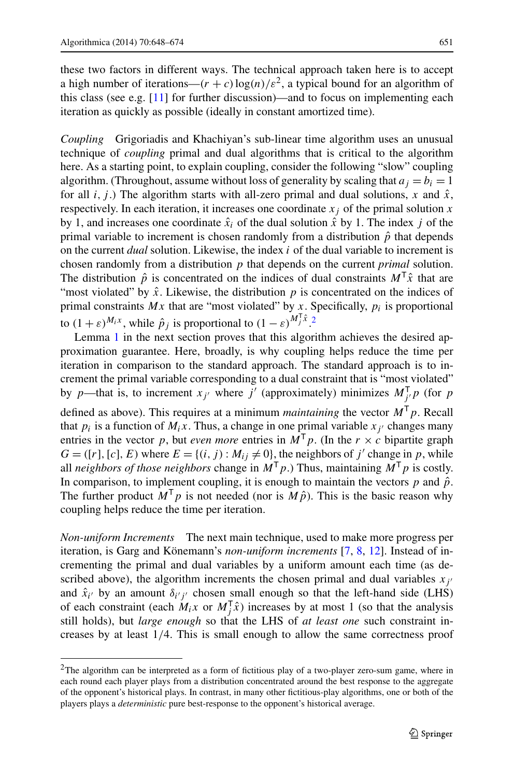these two factors in different ways. The technical approach taken here is to accept a high number of iterations— $(r + c) \log(n)/\varepsilon^2$ , a typical bound for an algorithm of this class (see e.g. [\[11\]](#page-26-16) for further discussion)—and to focus on implementing each iteration as quickly as possible (ideally in constant amortized time).

*Coupling* Grigoriadis and Khachiyan's sub-linear time algorithm uses an unusual technique of *coupling* primal and dual algorithms that is critical to the algorithm here. As a starting point, to explain coupling, consider the following "slow" coupling algorithm. (Throughout, assume without loss of generality by scaling that  $a_i = b_i = 1$ for all *i, j*.) The algorithm starts with all-zero primal and dual solutions, x and  $\hat{x}$ , respectively. In each iteration, it increases one coordinate  $x_j$  of the primal solution  $x$ by 1, and increases one coordinate  $\hat{x}_i$  of the dual solution  $\hat{x}$  by 1. The index *j* of the primal variable to increment is chosen randomly from a distribution  $\hat{p}$  that depends on the current *dual* solution. Likewise, the index *i* of the dual variable to increment is chosen randomly from a distribution *p* that depends on the current *primal* solution. The distribution  $\hat{p}$  is concentrated on the indices of dual constraints  $M^T\hat{x}$  that are "most violated" by  $\hat{x}$ . Likewise, the distribution  $p$  is concentrated on the indices of primal constraints  $Mx$  that are "most violated" by x. Specifically,  $p_i$  is proportional to  $(1 + \varepsilon)^{M_i x}$ , while  $\hat{p}_j$  is proportional to  $(1 - \varepsilon)^{M_j^T \hat{x}}$ .

Lemma [1](#page-6-0) in the next section proves that this algorithm achieves the desired approximation guarantee. Here, broadly, is why coupling helps reduce the time per iteration in comparison to the standard approach. The standard approach is to increment the primal variable corresponding to a dual constraint that is "most violated" by *p*—that is, to increment  $x_j$  where *j'* (approximately) minimizes  $M_{j'}^T p$  (for *p* defined as above). This requires at a minimum *maintaining* the vector  $M<sup>T</sup> p$ . Recall that  $p_i$  is a function of  $M_i x$ . Thus, a change in one primal variable  $x_i$  changes many entries in the vector *p*, but *even more* entries in  $M<sup>T</sup> p$ . (In the *r* × *c* bipartite graph  $G = (\{r\}, \{c\}, E)$  where  $E = \{(i, j): M_{ij} \neq 0\}$ , the neighbors of *j'* change in *p*, while all *neighbors of those neighbors* change in  $M^T p$ .) Thus, maintaining  $M^T p$  is costly. In comparison, to implement coupling, it is enough to maintain the vectors  $p$  and  $\hat{p}$ . The further product  $M^T p$  is not needed (nor is  $M\hat{p}$ ). This is the basic reason why coupling helps reduce the time per iteration.

<span id="page-3-0"></span>*Non-uniform Increments* The next main technique, used to make more progress per iteration, is Garg and Könemann's *non-uniform increments* [\[7](#page-26-8), [8,](#page-26-9) [12\]](#page-26-10). Instead of incrementing the primal and dual variables by a uniform amount each time (as described above), the algorithm increments the chosen primal and dual variables  $x_j$ and  $\hat{x}_{i'}$  by an amount  $\delta_{i'j'}$  chosen small enough so that the left-hand side (LHS) of each constraint (each  $M_i x$  or  $M_j^T \hat{x}$ ) increases by at most 1 (so that the analysis still holds), but *large enough* so that the LHS of *at least one* such constraint increases by at least 1*/*4. This is small enough to allow the same correctness proof

<sup>&</sup>lt;sup>2</sup>The algorithm can be interpreted as a form of fictitious play of a two-player zero-sum game, where in each round each player plays from a distribution concentrated around the best response to the aggregate of the opponent's historical plays. In contrast, in many other fictitious-play algorithms, one or both of the players plays a *deterministic* pure best-response to the opponent's historical average.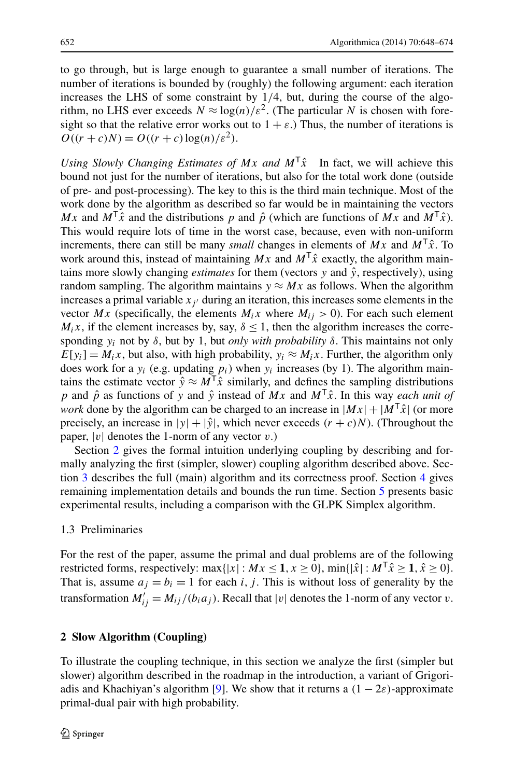to go through, but is large enough to guarantee a small number of iterations. The number of iterations is bounded by (roughly) the following argument: each iteration increases the LHS of some constraint by 1*/*4, but, during the course of the algorithm, no LHS ever exceeds  $N \approx \log(n)/\varepsilon^2$ . (The particular N is chosen with foresight so that the relative error works out to  $1 + \varepsilon$ .) Thus, the number of iterations is  $O((r + c)N) = O((r + c)\log(n)/\varepsilon^2)$ .

*Using Slowly Changing Estimates of Mx and*  $M^T\hat{x}$  In fact, we will achieve this bound not just for the number of iterations, but also for the total work done (outside of pre- and post-processing). The key to this is the third main technique. Most of the work done by the algorithm as described so far would be in maintaining the vectors *Mx* and  $M^T\hat{x}$  and the distributions *p* and  $\hat{p}$  (which are functions of *Mx* and  $M^T\hat{x}$ ). This would require lots of time in the worst case, because, even with non-uniform increments, there can still be many *small* changes in elements of  $Mx$  and  $M<sup>T</sup>\hat{x}$ . To work around this, instead of maintaining  $Mx$  and  $M<sup>T</sup>\hat{x}$  exactly, the algorithm maintains more slowly changing *estimates* for them (vectors  $y$  and  $\hat{y}$ , respectively), using random sampling. The algorithm maintains  $y \approx Mx$  as follows. When the algorithm increases a primal variable  $x_i$  during an iteration, this increases some elements in the vector  $Mx$  (specifically, the elements  $M_ix$  where  $M_{ij} > 0$ ). For each such element  $M_i$ *x*, if the element increases by, say,  $\delta \leq 1$ , then the algorithm increases the corresponding  $y_i$  not by  $\delta$ , but by 1, but *only with probability*  $\delta$ . This maintains not only  $E[y_i] = M_i x$ , but also, with high probability,  $y_i \approx M_i x$ . Further, the algorithm only does work for a  $y_i$  (e.g. updating  $p_i$ ) when  $y_i$  increases (by 1). The algorithm maintains the estimate vector  $\hat{y} \approx M^T \hat{x}$  similarly, and defines the sampling distributions *p* and  $\hat{p}$  as functions of *y* and  $\hat{y}$  instead of *Mx* and  $M^T\hat{x}$ . In this way *each unit of work* done by the algorithm can be charged to an increase in  $|Mx| + |M^T\hat{x}|$  (or more precisely, an increase in  $|y| + |\hat{y}|$ , which never exceeds  $(r + c)N$ ). (Throughout the paper,  $|v|$  denotes the 1-norm of any vector  $v$ .)

Section [2](#page-4-0) gives the formal intuition underlying coupling by describing and formally analyzing the first (simpler, slower) coupling algorithm described above. Section [3](#page-6-1) describes the full (main) algorithm and its correctness proof. Section [4](#page-12-0) gives remaining implementation details and bounds the run time. Section [5](#page-16-0) presents basic experimental results, including a comparison with the GLPK Simplex algorithm.

# 1.3 Preliminaries

<span id="page-4-0"></span>For the rest of the paper, assume the primal and dual problems are of the following restricted forms, respectively: max $\{|x| : Mx \leq 1, x \geq 0\}$ , min $\{|x| : M^T x \geq 1, x \geq 0\}$ . That is, assume  $a_i = b_i = 1$  for each *i*, *j*. This is without loss of generality by the transformation  $M'_{ij} = M_{ij}/(b_i a_j)$ . Recall that  $|v|$  denotes the 1-norm of any vector *v*.

# **2 Slow Algorithm (Coupling)**

To illustrate the coupling technique, in this section we analyze the first (simpler but slower) algorithm described in the roadmap in the introduction, a variant of Grigori-adis and Khachiyan's algorithm [[9\]](#page-26-5). We show that it returns a  $(1 - 2\varepsilon)$ -approximate primal-dual pair with high probability.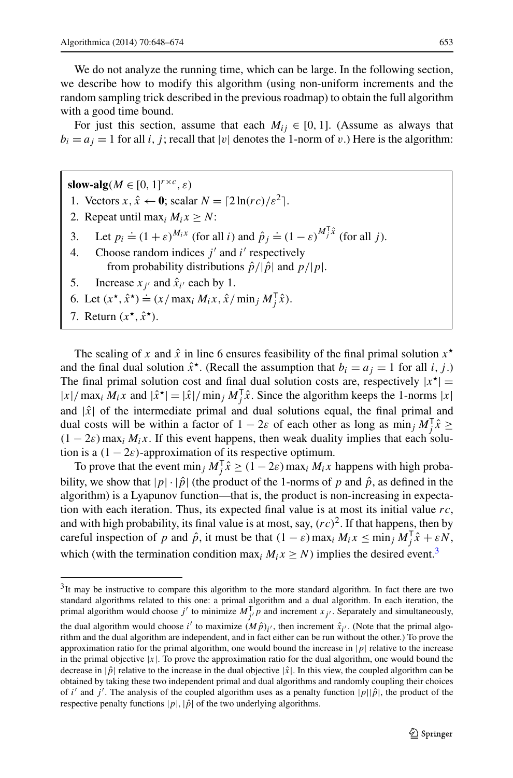We do not analyze the running time, which can be large. In the following section, we describe how to modify this algorithm (using non-uniform increments and the random sampling trick described in the previous roadmap) to obtain the full algorithm with a good time bound.

For just this section, assume that each  $M_{ij} \in [0, 1]$ . (Assume as always that  $b_i = a_j = 1$  for all *i, j*; recall that |*v*| denotes the 1-norm of *v*.) Here is the algorithm:

**slow-alg** $(M \in [0, 1]^{r \times c}, \varepsilon)$ 1. Vectors  $x, \hat{x} \leftarrow 0$ ; scalar  $N = \lceil 2\ln(rc)/\varepsilon^2 \rceil$ . 2. Repeat until max<sub>*i*</sub>  $M_i x \ge N$ : 3. Let  $p_i \doteq (1+\varepsilon)^{M_i x}$  (for all *i*) and  $\hat{p}_j \doteq (1-\varepsilon)^{M_j^T \hat{x}}$  (for all *j*). Choose random indices  $j'$  and  $i'$  respectively from probability distributions  $\hat{p}/|\hat{p}|$  and  $p/|p|$ . 5. Increase  $x_j$  and  $\hat{x}_{i'}$  each by 1. 6. Let  $(x^*, \hat{x}^*) = (x / \max_i M_i x, \hat{x} / \min_j M_j^{\mathsf{T}} \hat{x}).$ 

7. Return  $(x^*, \hat{x}^*)$ .

The scaling of x and  $\hat{x}$  in line 6 ensures feasibility of the final primal solution  $x^*$ and the final dual solution  $\hat{x}^*$ . (Recall the assumption that  $b_i = a_i = 1$  for all *i, j.*) The final primal solution cost and final dual solution costs are, respectively  $|x^*|$  =  $|x|/\max_i M_i x$  and  $|\hat{x}^*| = |\hat{x}|/\min_j M_j^T \hat{x}$ . Since the algorithm keeps the 1-norms  $|x|$ and  $|\hat{x}|$  of the intermediate primal and dual solutions equal, the final primal and dual costs will be within a factor of  $1 - 2\varepsilon$  of each other as long as min<sub>j</sub>  $M_j^T \hat{x} \geq$  $(1 - 2\varepsilon)$  max<sub>*i*</sub>  $M_i x$ . If this event happens, then weak duality implies that each solution is a  $(1 - 2\varepsilon)$ -approximation of its respective optimum.

<span id="page-5-0"></span>To prove that the event min<sub>j</sub>  $M_j^T \hat{x} \ge (1 - 2\varepsilon) \max_i M_i x$  happens with high probability, we show that  $|p| \cdot |\hat{p}|$  (the product of the 1-norms of p and  $\hat{p}$ , as defined in the algorithm) is a Lyapunov function—that is, the product is non-increasing in expectation with each iteration. Thus, its expected final value is at most its initial value *rc*, and with high probability, its final value is at most, say,  $(rc)^2$ . If that happens, then by careful inspection of *p* and  $\hat{p}$ , it must be that  $(1 - \varepsilon) \max_i M_i x \le \min_j M_j^{\mathsf{T}} \hat{x} + \varepsilon N$ , which (with the termination condition max<sub>*i*</sub>  $M_i x \ge N$ ) implies the desired event.<sup>[3](#page-5-0)</sup>

 $3$ It may be instructive to compare this algorithm to the more standard algorithm. In fact there are two standard algorithms related to this one: a primal algorithm and a dual algorithm. In each iteration, the primal algorithm would choose *j'* to minimize  $M^{\mathsf{T}}_{j'} p$  and increment  $x_{j'}$ . Separately and simultaneously, the dual algorithm would choose *i'* to maximize  $(M\hat{p})_{i'}$ , then increment  $\hat{x}_{i'}$ . (Note that the primal algorithm and the dual algorithm are independent, and in fact either can be run without the other.) To prove the approximation ratio for the primal algorithm, one would bound the increase in |*p*| relative to the increase in the primal objective  $|x|$ . To prove the approximation ratio for the dual algorithm, one would bound the decrease in  $|\hat{p}|$  relative to the increase in the dual objective  $|\hat{x}|$ . In this view, the coupled algorithm can be obtained by taking these two independent primal and dual algorithms and randomly coupling their choices of *i*<sup>'</sup> and *j*'. The analysis of the coupled algorithm uses as a penalty function  $|p||\hat{p}$ , the product of the respective penalty functions  $|p|$ ,  $|\hat{p}|$  of the two underlying algorithms.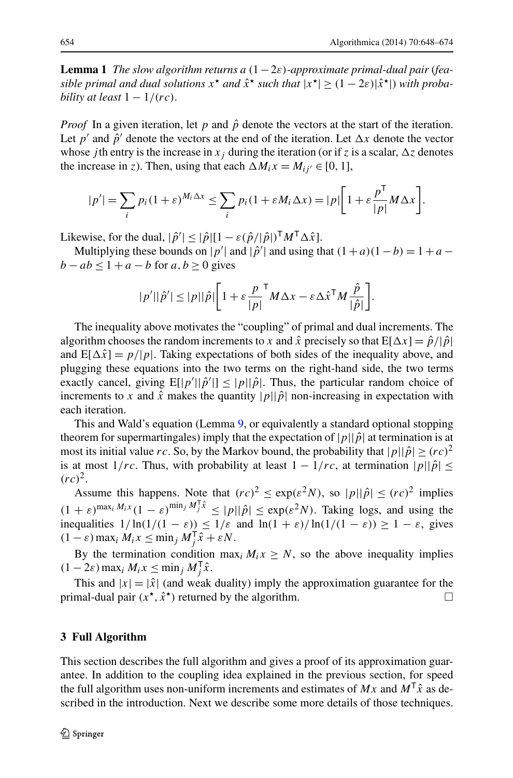<span id="page-6-0"></span>**Lemma 1** *The slow algorithm returns a*  $(1-2\varepsilon)$ *-approximate primal-dual pair (feasible primal and dual solutions*  $x^*$  *and*  $\hat{x}^*$  *such that*  $|x^*| \geq (1 - 2\varepsilon)|\hat{x}^*|$ ) *with probability at least* 1 − 1*/(rc)*.

*Proof* In a given iteration, let  $p$  and  $\hat{p}$  denote the vectors at the start of the iteration. Let *p*<sup> $\prime$ </sup> and  $\hat{p}$ <sup> $\prime$ </sup> denote the vectors at the end of the iteration. Let  $\Delta x$  denote the vector whose *j*th entry is the increase in  $x_j$  during the iteration (or if *z* is a scalar,  $\Delta z$  denotes the increase in *z*). Then, using that each  $\Delta M_i x = M_{ii'} \in [0, 1]$ ,

$$
|p'| = \sum_{i} p_i (1+\varepsilon)^{M_i \Delta x} \le \sum_{i} p_i (1+\varepsilon M_i \Delta x) = |p| \left[ 1 + \varepsilon \frac{p^{\mathsf{T}}}{|p|} M \Delta x \right].
$$

Likewise, for the dual,  $|\hat{p}'| \leq |\hat{p}|[1 - \varepsilon(\hat{p}/|\hat{p}|)^{\mathsf{T}}M^{\mathsf{T}}\Delta\hat{x}]$ .

Multiplying these bounds on  $|p'|$  and  $|\hat{p}'|$  and using that  $(1 + a)(1 - b) = 1 + a$ *b* − *ab*  $\leq$  1 + *a* − *b* for *a*, *b*  $\geq$  0 gives

$$
|p'||\hat{p}'| \leq |p||\hat{p}|\bigg[1 + \varepsilon \frac{p}{|p|}^{\mathsf{T}} M \Delta x - \varepsilon \Delta \hat{x}^{\mathsf{T}} M \frac{\hat{p}}{|\hat{p}|}\bigg].
$$

The inequality above motivates the "coupling" of primal and dual increments. The algorithm chooses the random increments to *x* and  $\hat{x}$  precisely so that  $E[\Delta x] = \hat{p}/|\hat{p}|$ and  $E[\Delta \hat{x}] = p/|p|$ . Taking expectations of both sides of the inequality above, and plugging these equations into the two terms on the right-hand side, the two terms exactly cancel, giving  $E[|p'| | \hat{p}'|] \le |p| |\hat{p}|$ . Thus, the particular random choice of increments to *x* and  $\hat{x}$  makes the quantity  $|p||\hat{p}|$  non-increasing in expectation with each iteration.

This and Wald's equation (Lemma [9,](#page-25-0) or equivalently a standard optional stopping theorem for supermartingales) imply that the expectation of  $|p||\hat{p}|$  at termination is at most its initial value *rc*. So, by the Markov bound, the probability that  $|p||\hat{p}| \geq (rc)^2$ is at most  $1/rc$ . Thus, with probability at least  $1 - 1/rc$ , at termination  $|p||\hat{p}| \le$  $(rc)^2$ .

Assume this happens. Note that  $rc)^2 \le \exp(\varepsilon^2 N)$ , so  $|p||\hat{p}| \le (rc)^2$  implies  $(1 + \varepsilon)^{\max_i M_i x} (1 - \varepsilon)^{\min_j M_j^T \hat{x}} \leq |p||\hat{p}| \leq \exp(\varepsilon^2 N)$ . Taking logs, and using the inequalities  $1/\ln(1/(1 - \varepsilon)) \leq 1/\varepsilon$  and  $\ln(1 + \varepsilon)/\ln(1/(1 - \varepsilon)) \geq 1 - \varepsilon$ , gives  $(1 - \varepsilon) \max_i M_i x \leq \min_j M_j^{\mathsf{T}} \hat{x} + \varepsilon N.$ 

<span id="page-6-1"></span>By the termination condition max<sub>*i*</sub>  $M_i x \ge N$ , so the above inequality implies  $(1 - 2\varepsilon) \max_i M_i x \le \min_j M_j^{\mathsf{T}} \hat{x}.$ 

This and  $|x| = |\hat{x}|$  (and weak duality) imply the approximation guarantee for the primal-dual pair  $(x^*, \hat{x}^*)$  returned by the algorithm.

## **3 Full Algorithm**

This section describes the full algorithm and gives a proof of its approximation guarantee. In addition to the coupling idea explained in the previous section, for speed the full algorithm uses non-uniform increments and estimates of  $Mx$  and  $M<sup>T</sup>\hat{x}$  as described in the introduction. Next we describe some more details of those techniques.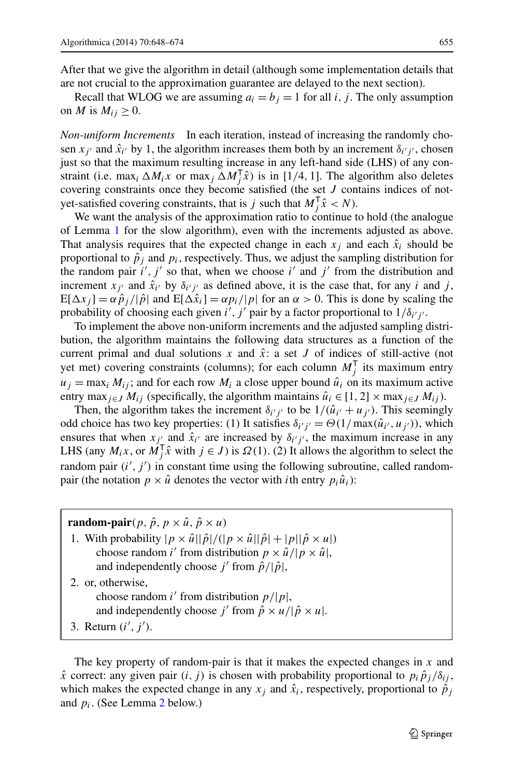After that we give the algorithm in detail (although some implementation details that are not crucial to the approximation guarantee are delayed to the next section).

Recall that WLOG we are assuming  $a_i = b_j = 1$  for all *i*, *j*. The only assumption on *M* is  $M_{ij} \geq 0$ .

*Non-uniform Increments* In each iteration, instead of increasing the randomly chosen  $x_{j'}$  and  $\hat{x}_{i'}$  by 1, the algorithm increases them both by an increment  $\delta_{i'j'}$ , chosen just so that the maximum resulting increase in any left-hand side (LHS) of any constraint (i.e. max<sub>*i*</sub>  $\Delta M_i x$  or max<sub>*j*</sub>  $\Delta M_i^T \hat{x}$ ) is in [1/4, 1]. The algorithm also deletes covering constraints once they become satisfied (the set *J* contains indices of notyet-satisfied covering constraints, that is *j* such that  $M_j^T \hat{x} < N$ .

We want the analysis of the approximation ratio to continue to hold (the analogue of Lemma [1](#page-6-0) for the slow algorithm), even with the increments adjusted as above. That analysis requires that the expected change in each  $x_i$  and each  $\hat{x}_i$  should be proportional to  $\hat{p}_i$  and  $p_i$ , respectively. Thus, we adjust the sampling distribution for the random pair  $i'$ ,  $j'$  so that, when we choose  $i'$  and  $j'$  from the distribution and increment  $x_{j'}$  and  $\hat{x}_{i'}$  by  $\delta_{i'j'}$  as defined above, it is the case that, for any *i* and *j*,  $E[\Delta x_i] = \alpha \hat{p}_i / |\hat{p}|$  and  $E[\Delta \hat{x}_i] = \alpha p_i / |p|$  for an  $\alpha > 0$ . This is done by scaling the probability of choosing each given *i'*, *j'* pair by a factor proportional to  $1/\delta_{i'j'}$ .

To implement the above non-uniform increments and the adjusted sampling distribution, the algorithm maintains the following data structures as a function of the current primal and dual solutions  $x$  and  $\hat{x}$ : a set  $J$  of indices of still-active (not yet met) covering constraints (columns); for each column  $M_j^{\mathsf{T}}$  its maximum entry  $u_j = \max_i M_{ij}$ ; and for each row  $M_i$  a close upper bound  $\hat{u}_i$  on its maximum active entry max<sub>*j*∈*J*  $M_{ij}$  (specifically, the algorithm maintains  $\hat{u}_i \in [1, 2] \times \max_{j \in J} M_{ij}$ ).</sub>

Then, the algorithm takes the increment  $\delta_{i'j'}$  to be  $1/(\hat{u}_{i'} + u_{j'})$ . This seemingly odd choice has two key properties: (1) It satisfies  $\delta_{i'j'} = \Theta(1/\max(\hat{u}_{i'}, u_{j'}))$ , which ensures that when  $x_{j'_i}$  and  $\hat{x}_{i'}$  are increased by  $\delta_{i'j'}$ , the maximum increase in any LHS (any  $M_i x$ , or  $M_j^T \hat{x}$  with  $j \in J$ ) is  $\Omega(1)$ . (2) It allows the algorithm to select the random pair  $(i', j')$  in constant time using the following subroutine, called randompair (the notation  $p \times \hat{u}$  denotes the vector with *i*th entry  $p_i \hat{u}_i$ ):

**random-pair** $(p, \hat{p}, p \times \hat{u}, \hat{p} \times \hat{u})$ 1. With probability  $|p \times \hat{u}||\hat{p}|/(|p \times \hat{u}||\hat{p}|+|p||\hat{p} \times u|)$ choose random *i*' from distribution  $p \times \hat{u}/|p \times \hat{u}|$ , and independently choose *j'* from  $\hat{p}/|\hat{p}|$ , 2. or, otherwise, choose random *i*' from distribution  $p/|p|$ , and independently choose *j'* from  $\hat{p} \times u / |\hat{p} \times u|$ . 3. Return  $(i', j')$ .

The key property of random-pair is that it makes the expected changes in *x* and  $\hat{x}$  correct: any given pair  $(i, j)$  is chosen with probability proportional to  $p_i \hat{p}_i / \delta_{ij}$ , which makes the expected change in any  $x_j$  and  $\hat{x}_i$ , respectively, proportional to  $\hat{p}_j$ and *pi*. (See Lemma [2](#page-8-0) below.)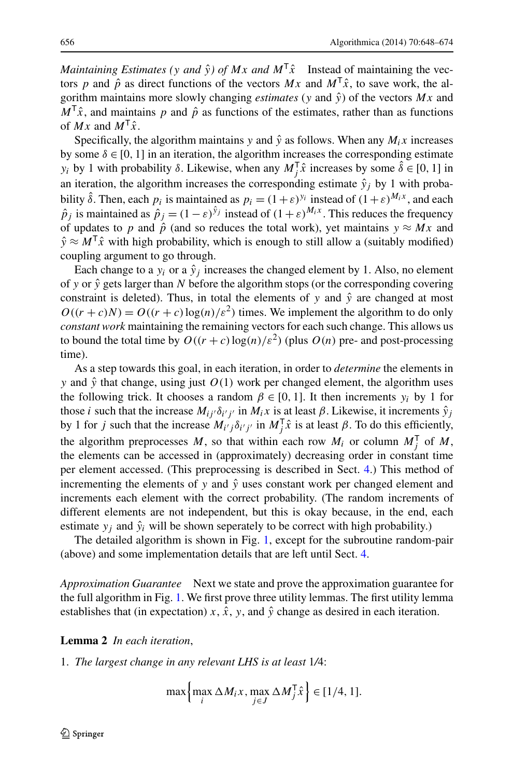*Maintaining Estimates (v and*  $\hat{v}$ *) of Mx and*  $M^T\hat{x}$  Instead of maintaining the vectors *p* and  $\hat{p}$  as direct functions of the vectors  $Mx$  and  $M^T\hat{x}$ , to save work, the algorithm maintains more slowly changing *estimates* ( $y$  and  $\hat{y}$ ) of the vectors  $Mx$  and  $M<sup>T</sup> \hat{x}$ , and maintains *p* and  $\hat{p}$  as functions of the estimates, rather than as functions of  $Mx$  and  $M^T\hat{x}$ .

Specifically, the algorithm maintains *y* and  $\hat{y}$  as follows. When any  $M_i x$  increases by some  $\delta \in [0, 1]$  in an iteration, the algorithm increases the corresponding estimate *y<sub>i</sub>* by 1 with probability  $\delta$ . Likewise, when any  $M_j^T \hat{x}$  increases by some  $\hat{\delta} \in [0, 1]$  in an iteration, the algorithm increases the corresponding estimate  $\hat{y}_i$  by 1 with probability  $\hat{\delta}$ . Then, each  $p_i$  is maintained as  $p_i = (1+\varepsilon)^{y_i}$  instead of  $(1+\varepsilon)^{M_i x}$ , and each  $\hat{p}_i$  is maintained as  $\hat{p}_i = (1 - \varepsilon)^{\hat{y}_j}$  instead of  $(1 + \varepsilon)^{M_i x}$ . This reduces the frequency of updates to *p* and  $\hat{p}$  (and so reduces the total work), yet maintains  $y \approx Mx$  and  $\hat{y} \approx M^{\dagger} \hat{x}$  with high probability, which is enough to still allow a (suitably modified) coupling argument to go through.

Each change to a  $y_i$  or a  $\hat{y}_i$  increases the changed element by 1. Also, no element of y or  $\hat{y}$  gets larger than N before the algorithm stops (or the corresponding covering constraint is deleted). Thus, in total the elements of *y* and  $\hat{y}$  are changed at most  $O((r + c)N) = O((r + c) \log(n)/\varepsilon^2)$  times. We implement the algorithm to do only *constant work* maintaining the remaining vectors for each such change. This allows us to bound the total time by  $O((r + c) \log(n)/\varepsilon^2)$  (plus  $O(n)$  pre- and post-processing time).

As a step towards this goal, in each iteration, in order to *determine* the elements in *y* and  $\hat{y}$  that change, using just  $O(1)$  work per changed element, the algorithm uses the following trick. It chooses a random  $\beta \in [0, 1]$ . It then increments  $y_i$  by 1 for those *i* such that the increase  $M_{ij}$  *o*<sub>*i*</sub> *j* in  $M_i$ *x* is at least  $\beta$ . Likewise, it increments  $\hat{y}_j$ by 1 for *j* such that the increase  $M_{i'j} \delta_{i'j'}$  in  $M_j^T \hat{x}$  is at least *β*. To do this efficiently, the algorithm preprocesses *M*, so that within each row  $M_i$  or column  $M_j^{\mathsf{T}}$  of *M*, the elements can be accessed in (approximately) decreasing order in constant time per element accessed. (This preprocessing is described in Sect. [4.](#page-12-0)) This method of incrementing the elements of  $y$  and  $\hat{y}$  uses constant work per changed element and increments each element with the correct probability. (The random increments of different elements are not independent, but this is okay because, in the end, each estimate  $y_i$  and  $\hat{y}_i$  will be shown seperately to be correct with high probability.)

<span id="page-8-0"></span>The detailed algorithm is shown in Fig. [1,](#page-9-0) except for the subroutine random-pair (above) and some implementation details that are left until Sect. [4](#page-12-0).

*Approximation Guarantee* Next we state and prove the approximation guarantee for the full algorithm in Fig. [1](#page-9-0). We first prove three utility lemmas. The first utility lemma establishes that (in expectation)  $x$ ,  $\hat{x}$ ,  $y$ , and  $\hat{y}$  change as desired in each iteration.

**Lemma 2** *In each iteration*,

1. *The largest change in any relevant LHS is at least* 1*/*4:

$$
\max\left\{\max_{i}\Delta M_{i}x,\max_{j\in J}\Delta M_{j}^{T}\hat{x}\right\}\in[1/4,1].
$$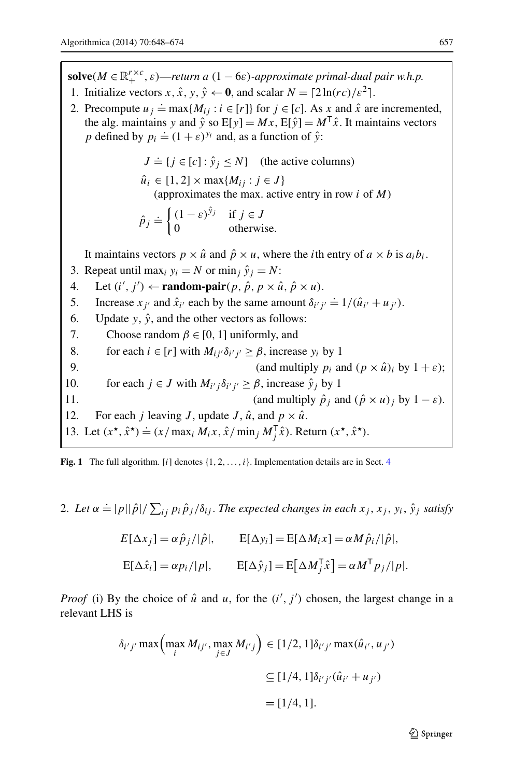**solve** $(M \in \mathbb{R}_+^{r \times c}, \varepsilon)$ —*return a*  $(1 - 6\varepsilon)$ *-approximate primal-dual pair w.h.p.* 

- 1. Initialize vectors  $x, \hat{x}, y, \hat{y} \leftarrow \mathbf{0}$ , and scalar  $N = \lceil 2\ln(rc)/\varepsilon^2 \rceil$ .
- 2. Precompute  $u_j = \max\{M_{ij} : i \in [r]\}$  for  $j \in [c]$ . As  $x$  and  $\hat{x}$  are incremented, the alg. maintains *y* and  $\hat{y}$  so  $E[y] = Mx$ ,  $E[\hat{y}] = M^T\hat{x}$ . It maintains vectors *p* defined by  $p_i \doteq (1 + \varepsilon)^{y_i}$  and, as a function of  $\hat{y}$ :

 $J \doteq \{ j \in [c] : \hat{y}_j \leq N \}$  (the active columns)  $\hat{u}_i \in [1, 2] \times \max\{M_{ij} : j \in J\}$ (approximates the max. active entry in row *i* of *M*)  $\hat{p}_j \doteq \begin{cases} (1 - \varepsilon)^{\hat{y}_j} & \text{if } j \in J \\ 0 & \text{otherwise} \end{cases}$ 0 otherwise. It maintains vectors  $p \times \hat{u}$  and  $\hat{p} \times u$ , where the *i*th entry of  $a \times b$  is  $a_i b_i$ . 3. Repeat until max<sub>i</sub>  $y_i = N$  or min<sub>i</sub>  $\hat{y}_i = N$ : 4. Let  $(i', j') \leftarrow \text{random-pair}(p, \hat{p}, p \times \hat{u}, \hat{p} \times u)$ . 5. Increase  $x_{j'}$  and  $\hat{x}_{i'}$  each by the same amount  $\delta_{i'j'} \doteq 1/(\hat{u}_{i'} + u_{j'})$ . 6. Update *y*,  $\hat{y}$ , and the other vectors as follows: 7. Choose random  $\beta \in [0, 1]$  uniformly, and 8. for each  $i \in [r]$  with  $M_{ij'}\delta_{i'j'} \ge \beta$ , increase  $y_i$  by 1

<span id="page-9-0"></span>9. (and multiply  $p_i$  and  $(p \times \hat{u})_i$  by  $1 + \varepsilon$ ); 10. for each  $j \in J$  with  $M_{i'j} \delta_{i'j'} \geq \beta$ , increase  $\hat{y}_j$  by 1 11. (and multiply  $\hat{p}_i$  and  $(\hat{p} \times u)_i$  by  $1 - \varepsilon$ ). 12. For each *j* leaving *J*, update *J*,  $\hat{u}$ , and  $p \times \hat{u}$ . 13. Let  $(x^{\star}, \hat{x}^{\star}) \doteq (x / \max_i M_i x, \hat{x} / \min_j M_j^{\mathsf{T}} \hat{x})$ . Return  $(x^{\star}, \hat{x}^{\star})$ .

**Fig. 1** The full algorithm. [*i*] denotes  $\{1, 2, \ldots, i\}$ . Implementation details are in Sect. [4](#page-12-0)

2. Let  $\alpha \doteq |p||\hat{p}|/\sum_{ij} p_i \hat{p}_j/\delta_{ij}$ . The expected changes in each  $x_j, x_j, y_i, \hat{y}_j$  satisfy

$$
E[\Delta x_j] = \alpha \hat{p}_j / |\hat{p}|, \qquad E[\Delta y_i] = E[\Delta M_i x] = \alpha M \hat{p}_i / |\hat{p}|,
$$
  

$$
E[\Delta \hat{x}_i] = \alpha p_i / |p|, \qquad E[\Delta \hat{y}_j] = E[\Delta M_j^{\mathsf{T}} \hat{x}] = \alpha M^{\mathsf{T}} p_j / |p|.
$$

*Proof* (i) By the choice of  $\hat{u}$  and  $u$ , for the  $(i', j')$  chosen, the largest change in a relevant LHS is

$$
\delta_{i'j'} \max\left(\max_{i} M_{ij'}, \max_{j \in J} M_{i'j}\right) \in [1/2, 1]\delta_{i'j'} \max(\hat{u}_{i'}, u_{j'})
$$

$$
\subseteq [1/4, 1]\delta_{i'j'}(\hat{u}_{i'} + u_{j'})
$$

$$
= [1/4, 1].
$$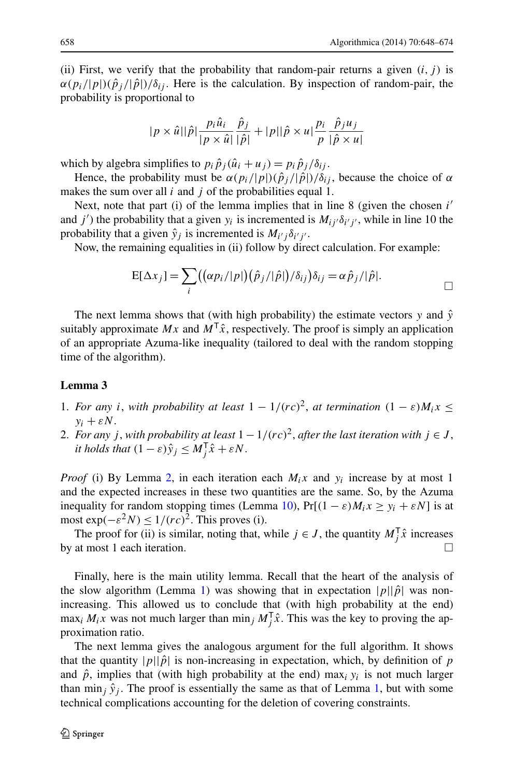(ii) First, we verify that the probability that random-pair returns a given  $(i, j)$  is  $\alpha(p_i/|p|)(\hat{p}_i/|\hat{p}|)/\delta_{ij}$ . Here is the calculation. By inspection of random-pair, the probability is proportional to

$$
|p \times \hat{u}||\hat{p}|\frac{p_i \hat{u}_i}{|p \times \hat{u}|}\frac{\hat{p}_j}{|\hat{p}|} + |p||\hat{p} \times u|\frac{p_i}{p}\frac{\hat{p}_j u_j}{|\hat{p} \times u|}
$$

which by algebra simplifies to  $p_i \hat{p}_j (\hat{u}_i + u_j) = p_i \hat{p}_j / \delta_{ij}$ .

Hence, the probability must be  $\alpha(p_i/|p|)(\hat{p}_i/|\hat{p}|)/\delta_{ij}$ , because the choice of  $\alpha$ makes the sum over all *i* and *j* of the probabilities equal 1.

Next, note that part (i) of the lemma implies that in line 8 (given the chosen *i* and *j'*) the probability that a given  $y_i$  is incremented is  $M_{ij} \delta_{i'j'}$ , while in line 10 the probability that a given  $\hat{y}_j$  is incremented is  $M_{i'j} \delta_{i'j'}$ .

Now, the remaining equalities in (ii) follow by direct calculation. For example:

$$
E[\Delta x_j] = \sum_i ((\alpha p_i/|p|)(\hat{p}_j/|\hat{p}|)/\delta_{ij})\delta_{ij} = \alpha \hat{p}_j/|\hat{p}|.
$$

<span id="page-10-0"></span>The next lemma shows that (with high probability) the estimate vectors  $y$  and  $\hat{y}$ suitably approximate  $Mx$  and  $M<sup>T</sup>\hat{x}$ , respectively. The proof is simply an application of an appropriate Azuma-like inequality (tailored to deal with the random stopping time of the algorithm).

#### **Lemma 3**

- 1. *For any i*, *with probability at least*  $1 1/(rc)^2$ , *at termination*  $(1 \varepsilon)M_i x$  $y_i + \varepsilon N$ .
- 2. *For any j*, *with probability at least*  $1 1/(rc)^2$ , *after the last iteration with*  $j \in J$ , *it holds that*  $(1 - \varepsilon)\hat{y}_j \leq M_j^{\mathsf{T}}\hat{x} + \varepsilon N$ .

*Proof* (i) By Lemma [2](#page-8-0), in each iteration each  $M_i x$  and  $y_i$  increase by at most 1 and the expected increases in these two quantities are the same. So, by the Azuma inequality for random stopping times (Lemma [10](#page-25-1)),  $Pr[(1 - \varepsilon)M_i x \ge y_i + \varepsilon N]$  is at most  $\exp(-\varepsilon^2 N) \le 1/(r \varepsilon)^2$ . This proves (i).

The proof for (ii) is similar, noting that, while  $j \in J$ , the quantity  $M_j^T \hat{x}$  increases by at most 1 each iteration.

Finally, here is the main utility lemma. Recall that the heart of the analysis of the slow algorithm (Lemma [1\)](#page-6-0) was showing that in expectation  $|p||\hat{p}|$  was nonincreasing. This allowed us to conclude that (with high probability at the end) max<sub>i</sub>  $M_i x$  was not much larger than min<sub>j</sub>  $M_j^T \hat{x}$ . This was the key to proving the approximation ratio.

The next lemma gives the analogous argument for the full algorithm. It shows that the quantity  $|p||\hat{p}|$  is non-increasing in expectation, which, by definition of *p* and  $\hat{p}$ , implies that (with high probability at the end) max<sub>i</sub>  $y_i$  is not much larger than min<sub>j</sub>  $\hat{y}_j$ . The proof is essentially the same as that of Lemma [1](#page-6-0), but with some technical complications accounting for the deletion of covering constraints.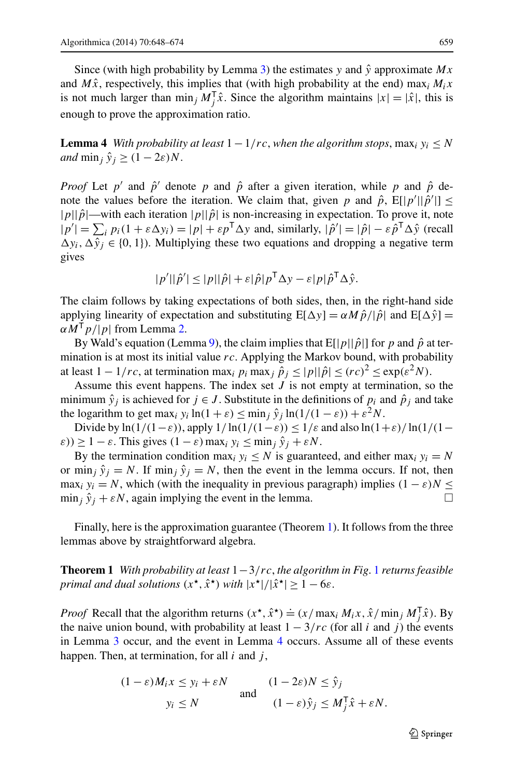<span id="page-11-1"></span>Since (with high probability by Lemma [3](#page-10-0)) the estimates  $y$  and  $\hat{y}$  approximate  $Mx$ and  $M\hat{x}$ , respectively, this implies that (with high probability at the end) max<sub>i</sub>  $M_i x$ is not much larger than  $\min_j M_j^T \hat{x}$ . Since the algorithm maintains  $|x| = |\hat{x}|$ , this is enough to prove the approximation ratio.

**Lemma 4** *With probability at least*  $1 - 1/rc$ , *when the algorithm stops*,  $\max_i y_i \leq N$ *and*  $\min_i \hat{y}_i \geq (1 - 2\varepsilon)N$ .

*Proof* Let  $p'$  and  $\hat{p}'$  denote  $p$  and  $\hat{p}$  after a given iteration, while  $p$  and  $\hat{p}$  denote the values before the iteration. We claim that, given *p* and  $\hat{p}$ ,  $E[|p'||\hat{p}'|] \le$  $|p||\hat{p}$ —with each iteration  $|p||\hat{p}|$  is non-increasing in expectation. To prove it, note  $|p'| = \sum_i p_i(1 + \varepsilon \Delta y_i) = |p| + \varepsilon p^{\mathsf{T}} \Delta y$  and, similarly,  $|\hat{p}'| = |\hat{p}| - \varepsilon \hat{p}^{\mathsf{T}} \Delta \hat{y}$  (recall  $\Delta y_i$ ,  $\Delta y_j$ <sup>i</sup> ∈ {0, 1}). Multiplying these two equations and dropping a negative term gives

$$
|p'||\hat{p}'| \leq |p||\hat{p}| + \varepsilon |\hat{p}| p^{\mathsf{T}} \Delta y - \varepsilon |p| \hat{p}^{\mathsf{T}} \Delta \hat{y}.
$$

The claim follows by taking expectations of both sides, then, in the right-hand side applying linearity of expectation and substituting  $E[\Delta y] = \alpha M \hat{p}/|\hat{p}|$  and  $E[\Delta \hat{y}] =$ *αM*<sup>T</sup>*p/*|*p*| from Lemma [2.](#page-8-0)

By Wald's equation (Lemma [9](#page-25-0)), the claim implies that  $E[|p|| \hat{p}|]$  for p and  $\hat{p}$  at termination is at most its initial value *rc*. Applying the Markov bound, with probability at least  $1 - 1/rc$ , at termination max<sub>*i*</sub>  $p_i$  max<sub>*j*</sub>  $\hat{p}_j \leq |p||\hat{p}| \leq (rc)^2 \leq \exp(\varepsilon^2 N)$ .

Assume this event happens. The index set *J* is not empty at termination, so the minimum  $\hat{y}_i$  is achieved for  $j \in J$ . Substitute in the definitions of  $p_i$  and  $\hat{p}_i$  and take the logarithm to get max<sub>i</sub>  $y_i \ln(1 + \varepsilon) \le \min_j \hat{y}_j \ln(1/(1 - \varepsilon)) + \varepsilon^2 N$ .

Divide by  $\ln(1/(1-\varepsilon))$ , apply  $1/\ln(1/(1-\varepsilon)) \leq 1/\varepsilon$  and also  $\ln(1+\varepsilon)/\ln(1/(1-\varepsilon))$  $(\varepsilon)$ )  $\geq 1 - \varepsilon$ . This gives  $(1 - \varepsilon)$  max<sub>*i*</sub>  $y_i \leq \min_j \hat{y}_j + \varepsilon N$ .

<span id="page-11-0"></span>By the termination condition max<sub>*i*</sub>  $y_i \leq N$  is guaranteed, and either max<sub>*i*</sub>  $y_i = N$ or min<sub>*i*</sub>  $\hat{y}_i = N$ . If min<sub>*i*</sub>  $\hat{y}_i = N$ , then the event in the lemma occurs. If not, then max<sub>i</sub>  $y_i = N$ , which (with the inequality in previous paragraph) implies  $(1 - \varepsilon)N \leq$  $\min_j \hat{y}_j + \varepsilon N$ , again implying the event in the lemma.

Finally, here is the approximation guarantee (Theorem [1](#page-11-0)). It follows from the three lemmas above by straightforward algebra.

**Theorem 1** *With probability at least* 1−3*/rc*, *the algorithm in Fig*. [1](#page-9-0) *returns feasible primal and dual solutions*  $(x^*, \hat{x}^*)$  *with*  $|x^*|/|\hat{x}^*| \geq 1-6\varepsilon$ .

*Proof* Recall that the algorithm returns  $(x^*, \hat{x}^*) \doteq (x / \max_i M_i x, \hat{x} / \min_j M_j^{\mathsf{T}} \hat{x})$ . By the naive union bound, with probability at least  $1 - 3/rc$  (for all *i* and *j*) the events in Lemma [3](#page-10-0) occur, and the event in Lemma [4](#page-11-1) occurs. Assume all of these events happen. Then, at termination, for all *i* and *j* ,

$$
(1 - \varepsilon)M_i x \le y_i + \varepsilon N \quad \text{and} \quad (1 - 2\varepsilon)N \le \hat{y}_j
$$
  
and 
$$
y_i \le N \quad \text{and} \quad (1 - \varepsilon)\hat{y}_j \le M_j^{\mathsf{T}}\hat{x} + \varepsilon N.
$$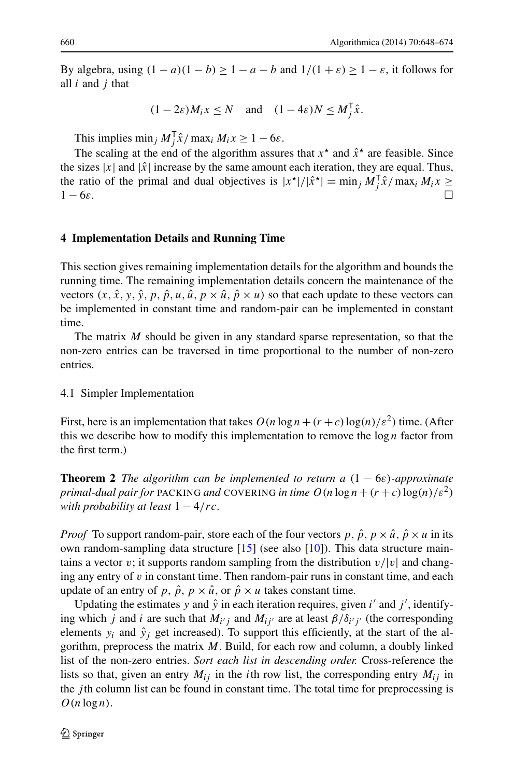By algebra, using  $(1 - a)(1 - b) \ge 1 - a - b$  and  $1/(1 + \varepsilon) \ge 1 - \varepsilon$ , it follows for all *i* and *j* that

$$
(1 - 2\varepsilon)M_i x \le N \quad \text{and} \quad (1 - 4\varepsilon)N \le M_j^{\mathsf{T}} \hat{x}.
$$

This implies  $\min_j M_j^T \hat{x} / \max_i M_i x \ge 1 - 6\varepsilon$ .

<span id="page-12-0"></span>The scaling at the end of the algorithm assures that  $x^*$  and  $\hat{x}^*$  are feasible. Since the sizes  $|x|$  and  $|\hat{x}|$  increase by the same amount each iteration, they are equal. Thus, the ratio of the primal and dual objectives is  $|x^*|/|\hat{x}^*| = \min_j M_j^T \hat{x}/\max_i M_i x \ge$ 1 − 6*ε*. -

## **4 Implementation Details and Running Time**

This section gives remaining implementation details for the algorithm and bounds the running time. The remaining implementation details concern the maintenance of the vectors  $(x, \hat{x}, y, \hat{y}, p, \hat{p}, u, \hat{u}, p \times \hat{u}, \hat{p} \times u)$  so that each update to these vectors can be implemented in constant time and random-pair can be implemented in constant time.

The matrix *M* should be given in any standard sparse representation, so that the non-zero entries can be traversed in time proportional to the number of non-zero entries.

## <span id="page-12-1"></span>4.1 Simpler Implementation

First, here is an implementation that takes  $O(n \log n + (r + c) \log(n)/\varepsilon^2)$  time. (After this we describe how to modify this implementation to remove the  $\log n$  factor from the first term.)

**Theorem 2** *The algorithm can be implemented to return a*  $(1 - 6\varepsilon)$ *-approximate primal-dual pair for* PACKING *and* COVERING *in time*  $O(n \log n + (r + c) \log(n)/\epsilon^2)$ *with probability at least* 1 − 4*/rc*.

*Proof* To support random-pair, store each of the four vectors  $p, \hat{p}, p \times \hat{u}, \hat{p} \times u$  in its own random-sampling data structure [\[15](#page-26-17)] (see also [\[10](#page-26-18)]). This data structure maintains a vector *v*; it supports random sampling from the distribution  $v/|v|$  and changing any entry of  $v$  in constant time. Then random-pair runs in constant time, and each update of an entry of p,  $\hat{p}$ ,  $p \times \hat{u}$ , or  $\hat{p} \times u$  takes constant time.

Updating the estimates *y* and  $\hat{y}$  in each iteration requires, given  $i'$  and  $j'$ , identifying which *j* and *i* are such that  $M_{i'j}$  and  $M_{ij'}$  are at least  $\beta/\delta_{i'j'}$  (the corresponding elements  $y_i$  and  $\hat{y}_i$  get increased). To support this efficiently, at the start of the algorithm, preprocess the matrix *M*. Build, for each row and column, a doubly linked list of the non-zero entries. *Sort each list in descending order.* Cross-reference the lists so that, given an entry  $M_{ij}$  in the *i*th row list, the corresponding entry  $M_{ij}$  in the *j* th column list can be found in constant time. The total time for preprocessing is  $O(n \log n)$ .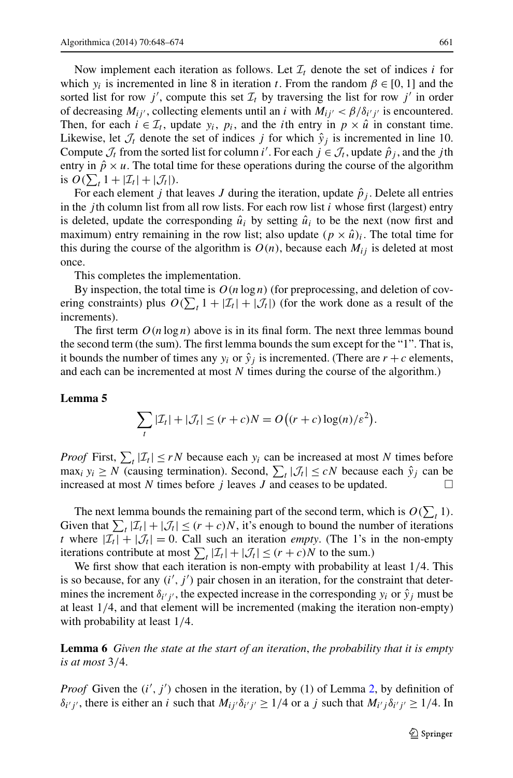Now implement each iteration as follows. Let  $\mathcal{I}_t$  denote the set of indices *i* for which  $y_i$  is incremented in line 8 in iteration *t*. From the random  $\beta \in [0, 1]$  and the sorted list for row  $j'$ , compute this set  $\mathcal{I}_t$  by traversing the list for row  $j'$  in order of decreasing  $M_{ij}$ , collecting elements until an *i* with  $M_{ij'} < \beta/\delta_{i'j'}$  is encountered. Then, for each  $i \in \mathcal{I}_t$ , update  $y_i$ ,  $p_i$ , and the *i*th entry in  $p \times \hat{u}$  in constant time. Likewise, let  $\mathcal{J}_t$  denote the set of indices *j* for which  $\hat{y}_j$  is incremented in line 10. Compute  $\mathcal{J}_t$  from the sorted list for column *i*'. For each  $j \in \mathcal{J}_t$ , update  $\hat{p}_j$ , and the *j* th entry in  $\hat{p} \times u$ . The total time for these operations during the course of the algorithm is  $O(\sum_t 1 + |\mathcal{I}_t| + |\mathcal{J}_t|).$ 

For each element *j* that leaves *J* during the iteration, update  $\hat{p}_j$ . Delete all entries in the *j*th column list from all row lists. For each row list  $i$  whose first (largest) entry is deleted, update the corresponding  $\hat{u}_i$  by setting  $\hat{u}_i$  to be the next (now first and maximum) entry remaining in the row list; also update  $(p \times \hat{u})_i$ . The total time for this during the course of the algorithm is  $O(n)$ , because each  $M_{ij}$  is deleted at most once.

This completes the implementation.

<span id="page-13-0"></span>By inspection, the total time is  $O(n \log n)$  (for preprocessing, and deletion of covering constraints) plus  $O(\sum_{t} 1 + |\mathcal{I}_t| + |\mathcal{J}_t|)$  (for the work done as a result of the increments).

The first term  $O(n \log n)$  above is in its final form. The next three lemmas bound the second term (the sum). The first lemma bounds the sum except for the "1". That is, it bounds the number of times any  $y_i$  or  $\hat{y}_i$  is incremented. (There are  $r + c$  elements, and each can be incremented at most *N* times during the course of the algorithm.)

#### **Lemma 5**

$$
\sum_{t} |\mathcal{I}_{t}| + |\mathcal{J}_{t}| \le (r + c)N = O((r + c)\log(n)/\varepsilon^{2}).
$$

*Proof* First,  $\sum_{t} |\mathcal{I}_t| \leq rN$  because each  $y_i$  can be increased at most *N* times before  $\max_i y_i \geq N$  (causing termination). Second,  $\sum_i |\mathcal{J}_t| \leq cN$  because each  $\hat{y}_j$  can be increased at most  $N$  times before  $j$  leaves  $J$  and ceases to be updated.

The next lemma bounds the remaining part of the second term, which is  $O(\sum_{t} 1)$ . Given that  $\sum_{t} |\mathcal{I}_t| + |\mathcal{J}_t| \le (r + c)N$ , it's enough to bound the number of iterations *t* where  $|\mathcal{I}_t| + |\mathcal{J}_t| = 0$ . Call such an iteration *empty*. (The 1's in the non-empty iterations contribute at most  $\sum_{t} |\mathcal{I}_t| + |\mathcal{J}_t| \le (r + c)N$  to the sum.)

We first show that each iteration is non-empty with probability at least 1*/*4. This is so because, for any  $(i', j')$  pair chosen in an iteration, for the constraint that determines the increment  $\delta_{i'j'}$ , the expected increase in the corresponding  $y_i$  or  $\hat{y}_j$  must be at least 1*/*4, and that element will be incremented (making the iteration non-empty) with probability at least 1*/*4.

**Lemma 6** *Given the state at the start of an iteration*, *the probability that it is empty is at most* 3*/*4.

*Proof* Given the  $(i', j')$  chosen in the iteration, by (1) of Lemma [2](#page-8-0), by definition of *δ<sub>i' j'*</sub>, there is either an *i* such that *M<sub>ij'</sub>* $δ_i'$ <sub>*j'*</sub> ≥ 1/4 or a *j* such that *M<sub>i'j</sub>* $δ_i'$ <sub>*j'*</sub> ≥ 1/4. In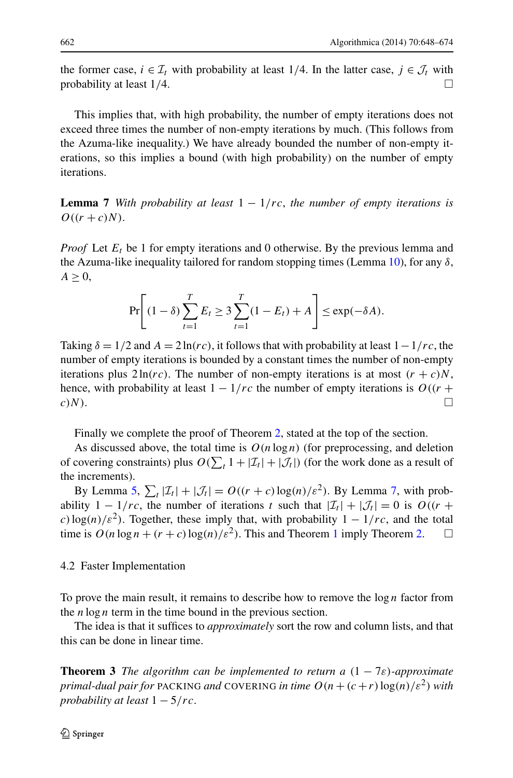the former case,  $i \in \mathcal{I}_t$  with probability at least 1/4. In the latter case,  $j \in \mathcal{J}_t$  with probability at least  $1/4$ .

<span id="page-14-0"></span>This implies that, with high probability, the number of empty iterations does not exceed three times the number of non-empty iterations by much. (This follows from the Azuma-like inequality.) We have already bounded the number of non-empty iterations, so this implies a bound (with high probability) on the number of empty iterations.

**Lemma 7** *With probability at least*  $1 - 1/rc$ , *the number of empty iterations is*  $O((r + c)N)$ .

*Proof* Let  $E_t$  be 1 for empty iterations and 0 otherwise. By the previous lemma and the Azuma-like inequality tailored for random stopping times (Lemma [10\)](#page-25-1), for any *δ*,  $A \geq 0$ ,

$$
\Pr\left[(1-\delta)\sum_{t=1}^T E_t \ge 3\sum_{t=1}^T (1-E_t) + A\right] \le \exp(-\delta A).
$$

Taking  $\delta = 1/2$  and  $A = 2 \ln(r \, c)$ , it follows that with probability at least  $1 - 1/r \, c$ , the number of empty iterations is bounded by a constant times the number of non-empty iterations plus  $2 \ln(rc)$ . The number of non-empty iterations is at most  $(r + c)N$ , hence, with probability at least  $1 - 1/rc$  the number of empty iterations is  $O((r +$  $c)N$ ).

Finally we complete the proof of Theorem [2,](#page-12-1) stated at the top of the section.

As discussed above, the total time is  $O(n \log n)$  (for preprocessing, and deletion of covering constraints) plus  $O(\sum_{t} 1 + |\mathcal{I}_t| + |\mathcal{J}_t|)$  (for the work done as a result of the increments).

By Lemma [5,](#page-13-0)  $\sum_{t} |\mathcal{I}_t| + |\mathcal{J}_t| = O((r + c) \log(n)/\varepsilon^2)$ . By Lemma [7](#page-14-0), with probability  $1 - 1/rc$ , the number of iterations *t* such that  $|\mathcal{I}_t| + |\mathcal{J}_t| = 0$  is  $O((r +$ *c*)  $\log(n)/\epsilon^2$ . Together, these imply that, with probability  $1 - 1/rc$ , and the total time is  $O(n \log n + (r + c) \log(n)/\varepsilon^2)$ . This and Theorem [1](#page-11-0) imply Theorem [2.](#page-12-1)  $\Box$ 

## <span id="page-14-1"></span>4.2 Faster Implementation

To prove the main result, it remains to describe how to remove the log *n* factor from the  $n \log n$  term in the time bound in the previous section.

The idea is that it suffices to *approximately* sort the row and column lists, and that this can be done in linear time.

**Theorem 3** *The algorithm can be implemented to return a*  $(1 - 7\varepsilon)$ *-approximate primal-dual pair for* PACKING *and* COVERING *in time*  $O(n + (c+r)\log(n)/\epsilon^2)$  *with probability at least* 1 − 5*/rc*.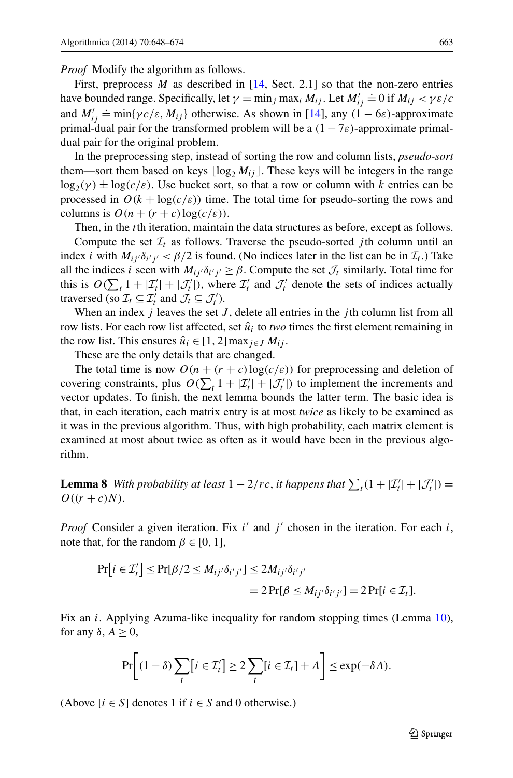*Proof* Modify the algorithm as follows.

First, preprocess *M* as described in [[14,](#page-26-11) Sect. 2.1] so that the non-zero entries have bounded range. Specifically, let  $\gamma = \min_j \max_i M_{ij}$ . Let  $M'_{ij}$  $\dot{=}$  0 if  $M_{ij} < \gamma \varepsilon/c$ and *M ij*  $\frac{1}{2}$  min{ $\gamma c/\varepsilon$ ,  $M_{ij}$ } otherwise. As shown in [[14\]](#page-26-11), any  $(1 - 6\varepsilon)$ -approximate primal-dual pair for the transformed problem will be a  $(1 - 7\varepsilon)$ -approximate primaldual pair for the original problem.

In the preprocessing step, instead of sorting the row and column lists, *pseudo-sort* them—sort them based on keys  $\lfloor \log_2 M_{ij} \rfloor$ . These keys will be integers in the range  $\log_2(\gamma) \pm \log(c/\varepsilon)$ . Use bucket sort, so that a row or column with *k* entries can be processed in  $O(k + \log(c/\varepsilon))$  time. The total time for pseudo-sorting the rows and columns is  $O(n + (r + c) \log(c/\varepsilon))$ .

Then, in the *t*th iteration, maintain the data structures as before, except as follows.

Compute the set  $\mathcal{I}_t$  as follows. Traverse the pseudo-sorted *j*th column until an index *i* with  $M_{ij'}\delta_{i'j'} < \beta/2$  is found. (No indices later in the list can be in  $\mathcal{I}_t$ .) Take all the indices *i* seen with  $M_{ij'}\delta_{i'j'} \geq \beta$ . Compute the set  $\mathcal{J}_t$  similarly. Total time for this is  $O(\sum_t 1 + |\mathcal{I}'_t| + |\mathcal{J}'_t|)$ , where  $\mathcal{I}'_t$  and  $\mathcal{J}'_t$  denote the sets of indices actually traversed (so  $\mathcal{I}_t \subseteq \mathcal{I}'_t$  and  $\mathcal{J}_t \subseteq \mathcal{J}'_t$ ).

When an index *j* leaves the set *J* , delete all entries in the *j* th column list from all row lists. For each row list affected, set  $\hat{u}_i$  to *two* times the first element remaining in the row list. This ensures  $\hat{u}_i \in [1, 2]$  max $i \in J$   $M_{ij}$ .

These are the only details that are changed.

The total time is now  $O(n + (r + c) \log(c/\varepsilon))$  for preprocessing and deletion of covering constraints, plus  $O(\sum_{t} 1 + |\mathcal{I}'_t| + |\mathcal{J}'_t|)$  to implement the increments and vector updates. To finish, the next lemma bounds the latter term. The basic idea is that, in each iteration, each matrix entry is at most *twice* as likely to be examined as it was in the previous algorithm. Thus, with high probability, each matrix element is examined at most about twice as often as it would have been in the previous algorithm.

**Lemma 8** *With probability at least*  $1 - 2/rc$ , *it happens that*  $\sum_{t}(1 + |\mathcal{I}'_t| + |\mathcal{J}'_t|) =$  $O((r + c)N)$ .

*Proof* Consider a given iteration. Fix *i'* and *j'* chosen in the iteration. For each *i*, note that, for the random  $\beta \in [0, 1]$ ,

$$
\begin{aligned} \Pr[i \in \mathcal{I}'_t] &\leq \Pr[\beta/2 \leq M_{ij'} \delta_{i'j'}] \leq 2M_{ij'} \delta_{i'j'} \\ &= 2\Pr[\beta \leq M_{ij'} \delta_{i'j'}] = 2\Pr[i \in \mathcal{I}_t]. \end{aligned}
$$

Fix an *i*. Applying Azuma-like inequality for random stopping times (Lemma [10\)](#page-25-1), for any  $\delta$ ,  $A \geq 0$ ,

$$
\Pr\bigg[(1-\delta)\sum_{t}[i\in\mathcal{I}'_t]\geq 2\sum_{t}[i\in\mathcal{I}_t]+A\bigg]\leq \exp(-\delta A).
$$

(Above  $[i \in S]$  denotes 1 if  $i \in S$  and 0 otherwise.)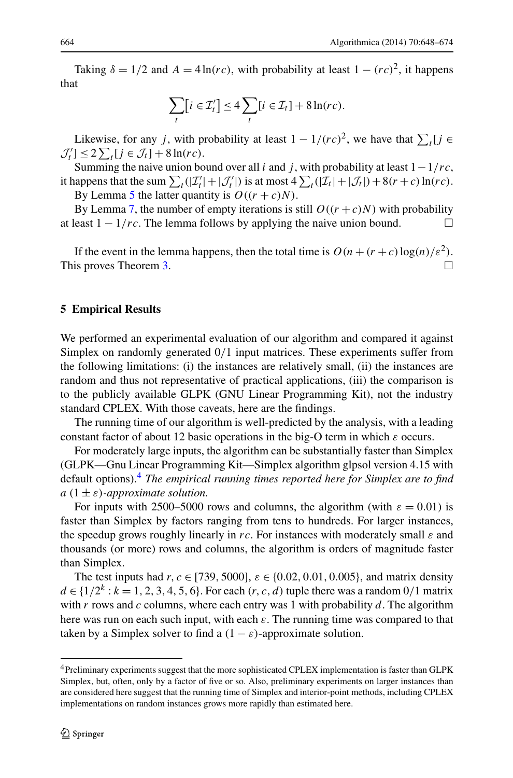Taking  $\delta = 1/2$  and  $A = 4 \ln(r \, \epsilon)$ , with probability at least  $1 - (r \, \epsilon)^2$ , it happens that

$$
\sum_{t} [i \in \mathcal{I}'_t] \le 4 \sum_{t} [i \in \mathcal{I}_t] + 8 \ln(rc).
$$

Likewise, for any *j*, with probability at least  $1 - 1/(rc)^2$ , we have that  $\sum_{t} [j \in$  $\mathcal{J}'_t$ ]  $\leq 2 \sum_t [j \in \mathcal{J}_t] + 8 \ln(rc)$ .

Summing the naive union bound over all *i* and *j*, with probability at least  $1 - 1/rc$ , it happens that the sum  $\sum_{t}(|\mathcal{I}'_t|+|\mathcal{J}'_t|)$  is at most  $4\sum_{t}(|\mathcal{I}_t|+|\mathcal{J}_t|)+8(r+c)\ln(rc)$ .

By Lemma [5](#page-13-0) the latter quantity is  $O((r + c)N)$ .

<span id="page-16-0"></span>By Lemma [7](#page-14-0), the number of empty iterations is still  $O((r + c)N)$  with probability at least  $1 - 1/rc$ . The lemma follows by applying the naive union bound.  $\Box$ 

If the event in the lemma happens, then the total time is  $O(n + (r + c) \log(n)/\epsilon^2)$ . This proves Theorem [3](#page-14-1).

#### **5 Empirical Results**

We performed an experimental evaluation of our algorithm and compared it against Simplex on randomly generated 0*/*1 input matrices. These experiments suffer from the following limitations: (i) the instances are relatively small, (ii) the instances are random and thus not representative of practical applications, (iii) the comparison is to the publicly available GLPK (GNU Linear Programming Kit), not the industry standard CPLEX. With those caveats, here are the findings.

The running time of our algorithm is well-predicted by the analysis, with a leading constant factor of about 12 basic operations in the big-O term in which *ε* occurs.

For moderately large inputs, the algorithm can be substantially faster than Simplex (GLPK—Gnu Linear Programming Kit—Simplex algorithm glpsol version 4.15 with default options)[.4](#page-16-1) *The empirical running times reported here for Simplex are to find*  $a(1 \pm \varepsilon)$ *-approximate solution.* 

For inputs with 2500–5000 rows and columns, the algorithm (with  $\varepsilon = 0.01$ ) is faster than Simplex by factors ranging from tens to hundreds. For larger instances, the speedup grows roughly linearly in *rc*. For instances with moderately small *ε* and thousands (or more) rows and columns, the algorithm is orders of magnitude faster than Simplex.

<span id="page-16-1"></span>The test inputs had *r,c* ∈ [739*,* 5000], *ε* ∈ {0*.*02*,* 0*.*01*,* 0*.*005}, and matrix density *d* ∈ { $1/2^k$  : *k* = 1, 2, 3, 4, 5, 6}. For each  $(r, c, d)$  tuple there was a random 0/1 matrix with *r* rows and *c* columns, where each entry was 1 with probability *d*. The algorithm here was run on each such input, with each *ε*. The running time was compared to that taken by a Simplex solver to find a  $(1 - \varepsilon)$ -approximate solution.

<sup>4</sup>Preliminary experiments suggest that the more sophisticated CPLEX implementation is faster than GLPK Simplex, but, often, only by a factor of five or so. Also, preliminary experiments on larger instances than are considered here suggest that the running time of Simplex and interior-point methods, including CPLEX implementations on random instances grows more rapidly than estimated here.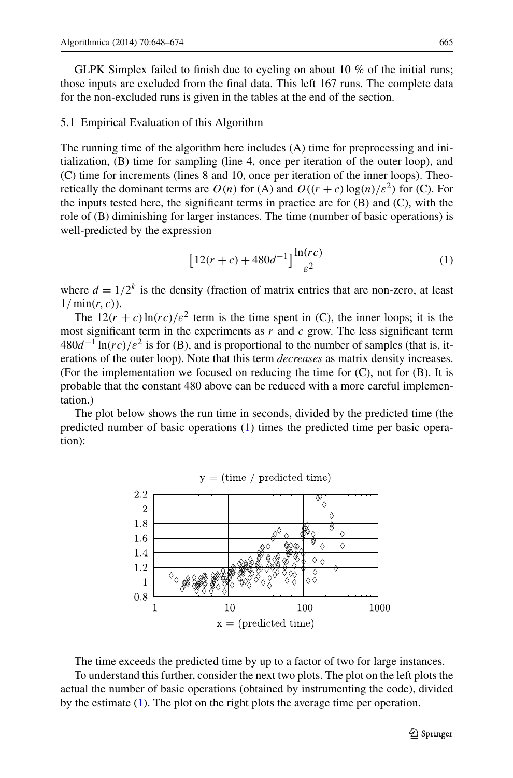GLPK Simplex failed to finish due to cycling on about 10 % of the initial runs; those inputs are excluded from the final data. This left 167 runs. The complete data for the non-excluded runs is given in the tables at the end of the section.

#### 5.1 Empirical Evaluation of this Algorithm

The running time of the algorithm here includes (A) time for preprocessing and initialization, (B) time for sampling (line 4, once per iteration of the outer loop), and (C) time for increments (lines 8 and 10, once per iteration of the inner loops). Theoretically the dominant terms are  $O(n)$  for (A) and  $O((r + c) \log(n)/\varepsilon^2)$  for (C). For the inputs tested here, the significant terms in practice are for  $(B)$  and  $(C)$ , with the role of (B) diminishing for larger instances. The time (number of basic operations) is well-predicted by the expression

<span id="page-17-0"></span>
$$
[12(r+c) + 480d^{-1}] \frac{\ln(rc)}{\varepsilon^2}
$$
 (1)

where  $d = 1/2^k$  is the density (fraction of matrix entries that are non-zero, at least 1*/*min*(r,c)*).

The  $12(r + c) \ln(rc)/\varepsilon^2$  term is the time spent in (C), the inner loops; it is the most significant term in the experiments as *r* and *c* grow. The less significant term  $480d^{-1}\ln$  $rc$ *)* $\varepsilon^2$  is for (B), and is proportional to the number of samples (that is, iterations of the outer loop). Note that this term *decreases* as matrix density increases. (For the implementation we focused on reducing the time for (C), not for (B). It is probable that the constant 480 above can be reduced with a more careful implementation.)

The plot below shows the run time in seconds, divided by the predicted time (the predicted number of basic operations ([1\)](#page-17-0) times the predicted time per basic operation):



The time exceeds the predicted time by up to a factor of two for large instances.

To understand this further, consider the next two plots. The plot on the left plots the actual the number of basic operations (obtained by instrumenting the code), divided by the estimate ([1\)](#page-17-0). The plot on the right plots the average time per operation.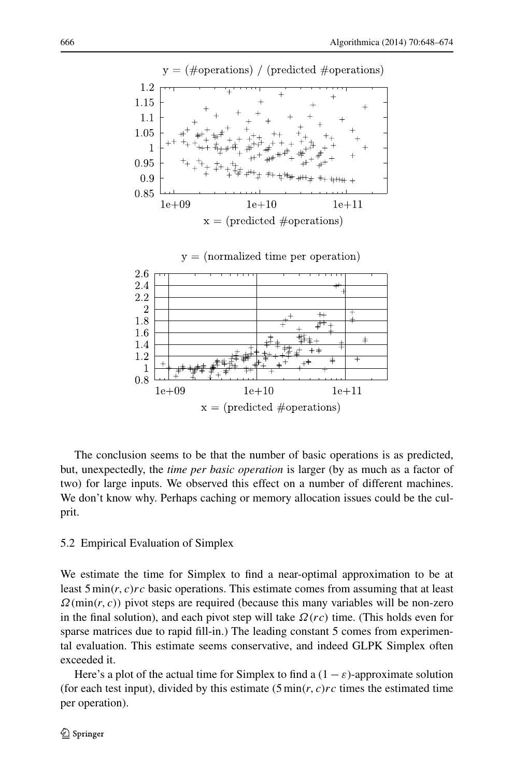

The conclusion seems to be that the number of basic operations is as predicted, but, unexpectedly, the *time per basic operation* is larger (by as much as a factor of two) for large inputs. We observed this effect on a number of different machines. We don't know why. Perhaps caching or memory allocation issues could be the culprit.

## 5.2 Empirical Evaluation of Simplex

We estimate the time for Simplex to find a near-optimal approximation to be at least 5 min*(r,c)rc* basic operations. This estimate comes from assuming that at least  $\Omega(\min(r, c))$  pivot steps are required (because this many variables will be non-zero in the final solution), and each pivot step will take *Ω(rc)* time. (This holds even for sparse matrices due to rapid fill-in.) The leading constant 5 comes from experimental evaluation. This estimate seems conservative, and indeed GLPK Simplex often exceeded it.

Here's a plot of the actual time for Simplex to find a  $(1 - \varepsilon)$ -approximate solution (for each test input), divided by this estimate  $(5 \text{min}(r, c)r c$  times the estimated time per operation).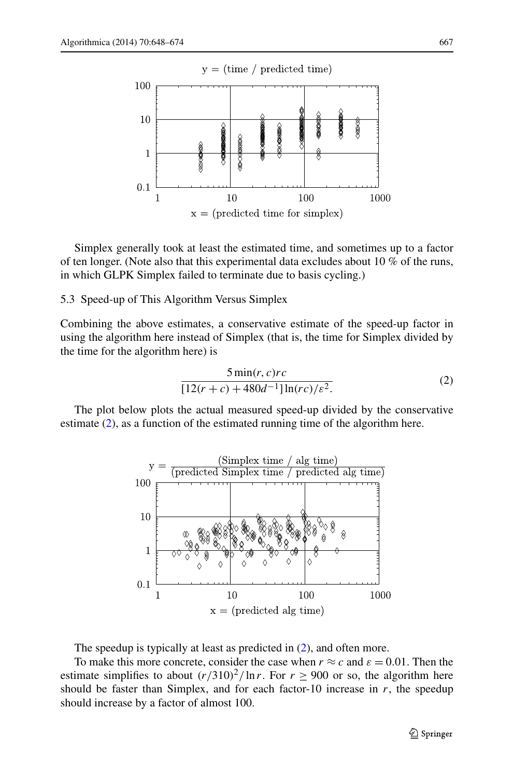

Simplex generally took at least the estimated time, and sometimes up to a factor of ten longer. (Note also that this experimental data excludes about 10 % of the runs, in which GLPK Simplex failed to terminate due to basis cycling.)

## 5.3 Speed-up of This Algorithm Versus Simplex

Combining the above estimates, a conservative estimate of the speed-up factor in using the algorithm here instead of Simplex (that is, the time for Simplex divided by the time for the algorithm here) is

<span id="page-19-0"></span>
$$
\frac{5\min(r, c)rc}{[12(r+c) + 480d^{-1}] \ln(rc)/\varepsilon^2}.
$$
 (2)

The plot below plots the actual measured speed-up divided by the conservative estimate ([2\)](#page-19-0), as a function of the estimated running time of the algorithm here.



The speedup is typically at least as predicted in ([2\)](#page-19-0), and often more.

To make this more concrete, consider the case when  $r \approx c$  and  $\varepsilon = 0.01$ . Then the estimate simplifies to about  $(r/310)^2$ / ln *r*. For  $r > 900$  or so, the algorithm here should be faster than Simplex, and for each factor-10 increase in  $r$ , the speedup should increase by a factor of almost 100.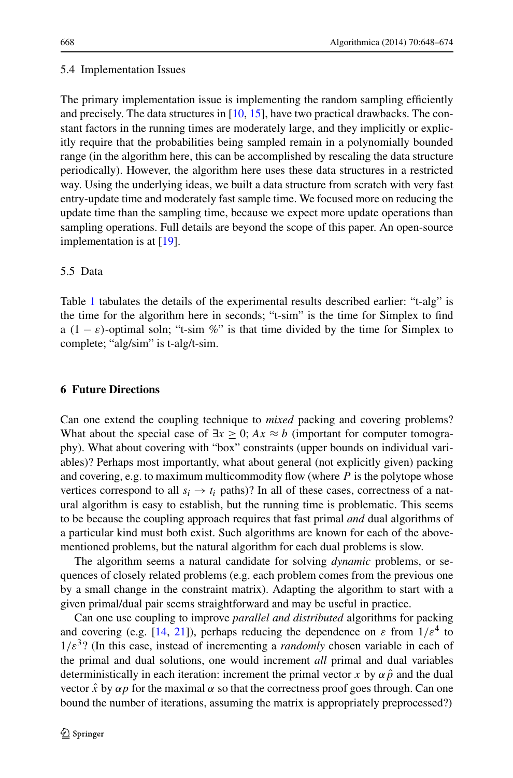## 5.4 Implementation Issues

The primary implementation issue is implementing the random sampling efficiently and precisely. The data structures in [\[10](#page-26-18), [15\]](#page-26-17), have two practical drawbacks. The constant factors in the running times are moderately large, and they implicitly or explicitly require that the probabilities being sampled remain in a polynomially bounded range (in the algorithm here, this can be accomplished by rescaling the data structure periodically). However, the algorithm here uses these data structures in a restricted way. Using the underlying ideas, we built a data structure from scratch with very fast entry-update time and moderately fast sample time. We focused more on reducing the update time than the sampling time, because we expect more update operations than sampling operations. Full details are beyond the scope of this paper. An open-source implementation is at [[19\]](#page-26-19).

## 5.5 Data

Table [1](#page-21-0) tabulates the details of the experimental results described earlier: "t-alg" is the time for the algorithm here in seconds; "t-sim" is the time for Simplex to find a  $(1 - \varepsilon)$ -optimal soln; "t-sim %" is that time divided by the time for Simplex to complete; "alg/sim" is t-alg/t-sim.

# **6 Future Directions**

Can one extend the coupling technique to *mixed* packing and covering problems? What about the special case of  $\exists x \geq 0$ ;  $Ax \approx b$  (important for computer tomography). What about covering with "box" constraints (upper bounds on individual variables)? Perhaps most importantly, what about general (not explicitly given) packing and covering, e.g. to maximum multicommodity flow (where *P* is the polytope whose vertices correspond to all  $s_i \rightarrow t_i$  paths)? In all of these cases, correctness of a natural algorithm is easy to establish, but the running time is problematic. This seems to be because the coupling approach requires that fast primal *and* dual algorithms of a particular kind must both exist. Such algorithms are known for each of the abovementioned problems, but the natural algorithm for each dual problems is slow.

The algorithm seems a natural candidate for solving *dynamic* problems, or sequences of closely related problems (e.g. each problem comes from the previous one by a small change in the constraint matrix). Adapting the algorithm to start with a given primal/dual pair seems straightforward and may be useful in practice.

Can one use coupling to improve *parallel and distributed* algorithms for packing and covering (e.g. [\[14](#page-26-11), [21](#page-26-4)]), perhaps reducing the dependence on  $\varepsilon$  from  $1/\varepsilon^4$  to  $1/\varepsilon^3$ ? (In this case, instead of incrementing a *randomly* chosen variable in each of the primal and dual solutions, one would increment *all* primal and dual variables deterministically in each iteration: increment the primal vector *x* by  $\alpha \hat{p}$  and the dual vector  $\hat{x}$  by  $\alpha p$  for the maximal  $\alpha$  so that the correctness proof goes through. Can one bound the number of iterations, assuming the matrix is appropriately preprocessed?)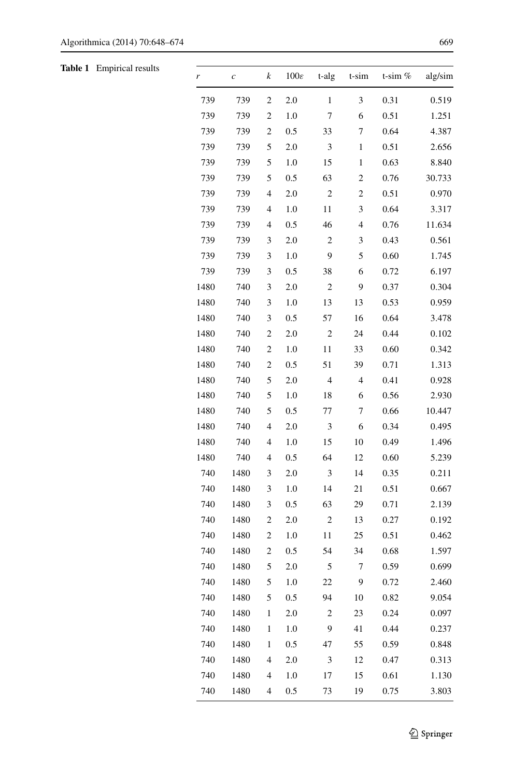<span id="page-21-0"></span>**Table 1** Empirical results

| r    | $\boldsymbol{c}$ | k                        | $100\varepsilon$ | t-alg          | t-sim | t-sim $%$ | alg/sim |
|------|------------------|--------------------------|------------------|----------------|-------|-----------|---------|
| 739  | 739              | 2                        | 2.0              | 1              | 3     | 0.31      | 0.519   |
| 739  | 739              | 2                        | 1.0              | 7              | 6     | 0.51      | 1.251   |
| 739  | 739              | 2                        | 0.5              | 33             | 7     | 0.64      | 4.387   |
| 739  | 739              | 5                        | 2.0              | 3              | 1     | 0.51      | 2.656   |
| 739  | 739              | 5                        | 1.0              | 15             | 1     | 0.63      | 8.840   |
| 739  | 739              | 5                        | 0.5              | 63             | 2     | 0.76      | 30.733  |
| 739  | 739              | $\overline{4}$           | 2.0              | 2              | 2     | 0.51      | 0.970   |
| 739  | 739              | 4                        | 1.0              | 11             | 3     | 0.64      | 3.317   |
| 739  | 739              | $\overline{4}$           | 0.5              | 46             | 4     | 0.76      | 11.634  |
| 739  | 739              | 3                        | 2.0              | $\mathfrak{2}$ | 3     | 0.43      | 0.561   |
| 739  | 739              | 3                        | 1.0              | 9              | 5     | 0.60      | 1.745   |
| 739  | 739              | 3                        | 0.5              | 38             | 6     | 0.72      | 6.197   |
| 1480 | 740              | 3                        | 2.0              | $\mathfrak{2}$ | 9     | 0.37      | 0.304   |
| 1480 | 740              | 3                        | 1.0              | 13             | 13    | 0.53      | 0.959   |
| 1480 | 740              | 3                        | 0.5              | 57             | 16    | 0.64      | 3.478   |
| 1480 | 740              | $\boldsymbol{2}$         | 2.0              | 2              | 24    | 0.44      | 0.102   |
| 1480 | 740              | $\overline{c}$           | 1.0              | 11             | 33    | 0.60      | 0.342   |
| 1480 | 740              | $\overline{c}$           | 0.5              | 51             | 39    | 0.71      | 1.313   |
| 1480 | 740              | 5                        | 2.0              | 4              | 4     | 0.41      | 0.928   |
| 1480 | 740              | 5                        | 1.0              | 18             | 6     | 0.56      | 2.930   |
| 1480 | 740              | 5                        | 0.5              | 77             | 7     | 0.66      | 10.447  |
| 1480 | 740              | 4                        | 2.0              | 3              | 6     | 0.34      | 0.495   |
| 1480 | 740              | 4                        | 1.0              | 15             | 10    | 0.49      | 1.496   |
| 1480 | 740              | 4                        | 0.5              | 64             | 12    | 0.60      | 5.239   |
| 740  | 1480             | 3                        | 2.0              | 3              | 14    | 0.35      | 0.211   |
| 740  | 1480             | 3                        | 1.0              | 14             | 21    | 0.51      | 0.667   |
| 740  | 1480             | 3                        | 0.5              | 63             | 29    | 0.71      | 2.139   |
| 740  | 1480             | $\overline{c}$           | 2.0              | $\overline{c}$ | 13    | 0.27      | 0.192   |
| 740  | 1480             | 2                        | 1.0              | 11             | 25    | 0.51      | 0.462   |
| 740  | 1480             | 2                        | 0.5              | 54             | 34    | 0.68      | 1.597   |
| 740  | 1480             | 5                        | 2.0              | 5              | 7     | 0.59      | 0.699   |
| 740  | 1480             | 5                        | 1.0              | 22             | 9     | 0.72      | 2.460   |
| 740  | 1480             | 5                        | 0.5              | 94             | 10    | 0.82      | 9.054   |
| 740  | 1480             | $\,1$                    | 2.0              | $\mathbf{2}$   | 23    | 0.24      | 0.097   |
| 740  | 1480             | 1                        | 1.0              | 9              | 41    | 0.44      | 0.237   |
| 740  | 1480             | 1                        | 0.5              | 47             | 55    | 0.59      | 0.848   |
| 740  | 1480             | $\overline{\mathcal{L}}$ | 2.0              | 3              | 12    | 0.47      | 0.313   |
| 740  | 1480             | 4                        | 1.0              | 17             | 15    | 0.61      | 1.130   |
| 740  | 1480             | 4                        | 0.5              | 73             | 19    | 0.75      | 3.803   |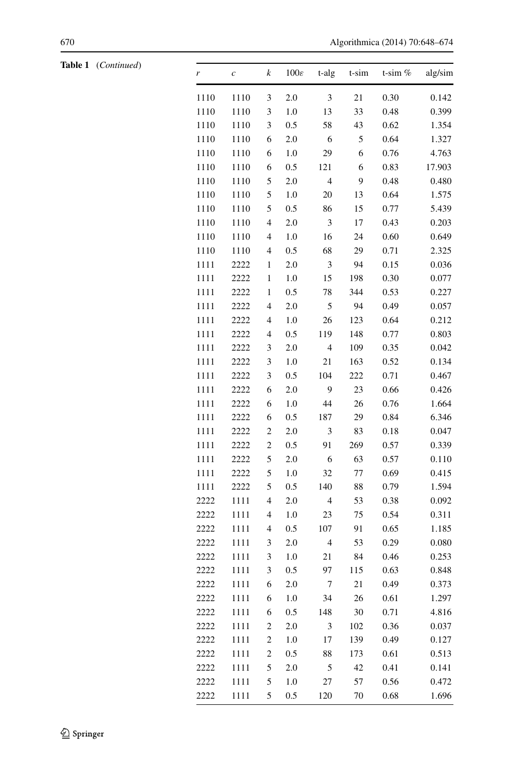| Table 1 | (Continued) |
|---------|-------------|
|         |             |

| Table 1 (Continued) | r    | $\boldsymbol{c}$ | k                | $100\varepsilon$ | t-alg                       | t-sim   | t-sim % | alg/sim |
|---------------------|------|------------------|------------------|------------------|-----------------------------|---------|---------|---------|
|                     | 1110 | 1110             | $\mathfrak{Z}$   | 2.0              | $\ensuremath{\mathfrak{Z}}$ | 21      | 0.30    | 0.142   |
|                     | 1110 | 1110             | 3                | $1.0\,$          | 13                          | 33      | 0.48    | 0.399   |
|                     | 1110 | 1110             | 3                | 0.5              | 58                          | 43      | 0.62    | 1.354   |
|                     | 1110 | 1110             | 6                | 2.0              | 6                           | 5       | 0.64    | 1.327   |
|                     | 1110 | 1110             | 6                | 1.0              | 29                          | 6       | 0.76    | 4.763   |
|                     | 1110 | 1110             | 6                | 0.5              | 121                         | 6       | 0.83    | 17.903  |
|                     | 1110 | 1110             | 5                | 2.0              | $\overline{4}$              | 9       | 0.48    | 0.480   |
|                     | 1110 | 1110             | 5                | $1.0\,$          | $20\,$                      | 13      | 0.64    | 1.575   |
|                     | 1110 | 1110             | 5                | 0.5              | 86                          | 15      | 0.77    | 5.439   |
|                     | 1110 | 1110             | 4                | 2.0              | $\ensuremath{\mathfrak{Z}}$ | 17      | 0.43    | 0.203   |
|                     | 1110 | 1110             | 4                | 1.0              | 16                          | 24      | 0.60    | 0.649   |
|                     | 1110 | 1110             | $\overline{4}$   | 0.5              | 68                          | 29      | 0.71    | 2.325   |
|                     | 1111 | 2222             | $\mathbf{1}$     | 2.0              | $\mathfrak{Z}$              | 94      | 0.15    | 0.036   |
|                     | 1111 | 2222             | $\mathbf{1}$     | $1.0\,$          | 15                          | 198     | 0.30    | 0.077   |
|                     | 1111 | 2222             | 1                | 0.5              | 78                          | 344     | 0.53    | 0.227   |
|                     | 1111 | 2222             | $\overline{4}$   | 2.0              | 5                           | 94      | 0.49    | 0.057   |
|                     | 1111 | 2222             | 4                | $1.0\,$          | 26                          | 123     | 0.64    | 0.212   |
|                     | 1111 | 2222             | 4                | $0.5\,$          | 119                         | 148     | 0.77    | 0.803   |
|                     | 1111 | 2222             | $\mathfrak{Z}$   | 2.0              | $\overline{4}$              | 109     | 0.35    | 0.042   |
|                     | 1111 | 2222             | $\mathfrak z$    | $1.0\,$          | 21                          | 163     | 0.52    | 0.134   |
|                     | 1111 | 2222             | $\mathfrak z$    | 0.5              | 104                         | $222\,$ | 0.71    | 0.467   |
|                     | 1111 | 2222             | 6                | 2.0              | $\mathbf{9}$                | 23      | 0.66    | 0.426   |
|                     | 1111 | 2222             | 6                | $1.0\,$          | 44                          | 26      | 0.76    | 1.664   |
|                     | 1111 | 2222             | 6                | 0.5              | 187                         | 29      | 0.84    | 6.346   |
|                     | 1111 | 2222             | $\mathfrak{2}$   | 2.0              | $\sqrt{3}$                  | 83      | 0.18    | 0.047   |
|                     | 1111 | 2222             | $\mathfrak{2}$   | $0.5\,$          | 91                          | 269     | 0.57    | 0.339   |
|                     | 1111 | 2222             | 5                | 2.0              | $\sqrt{6}$                  | 63      | 0.57    | 0.110   |
|                     | 1111 | 2222             | 5                | $1.0\,$          | 32                          | 77      | 0.69    | 0.415   |
|                     | 1111 | 2222             | $\sqrt{5}$       | 0.5              | 140                         | 88      | 0.79    | 1.594   |
|                     | 2222 | 1111             | 4                | 2.0              | $\overline{\mathbf{4}}$     | 53      | 0.38    | 0.092   |
|                     | 2222 | 1111             | 4                | $1.0\,$          | 23                          | 75      | 0.54    | 0.311   |
|                     | 2222 | 1111             | 4                | 0.5              | 107                         | 91      | 0.65    | 1.185   |
|                     | 2222 | 1111             | 3                | 2.0              | $\sqrt{4}$                  | 53      | 0.29    | 0.080   |
|                     | 2222 | 1111             | $\mathfrak z$    | 1.0              | 21                          | 84      | 0.46    | 0.253   |
|                     | 2222 | 1111             | $\mathfrak z$    | 0.5              | 97                          | 115     | 0.63    | 0.848   |
|                     | 2222 | 1111             | $\boldsymbol{6}$ | 2.0              | $7\phantom{.0}$             | 21      | 0.49    | 0.373   |
|                     | 2222 | 1111             | 6                | 1.0              | 34                          | 26      | 0.61    | 1.297   |
|                     | 2222 | 1111             | 6                | $0.5\,$          | 148                         | 30      | 0.71    | 4.816   |
|                     | 2222 | 1111             | $\overline{c}$   | $2.0\,$          | $\mathfrak{Z}$              | 102     | 0.36    | 0.037   |
|                     | 2222 | 1111             | $\overline{c}$   | 1.0              | 17                          | 139     | 0.49    | 0.127   |
|                     | 2222 | 1111             | $\overline{c}$   | $0.5\,$          | 88                          | 173     | 0.61    | 0.513   |
|                     | 2222 | 1111             | 5                | $2.0\,$          | 5                           | 42      | 0.41    | 0.141   |
|                     | 2222 | 1111             | 5                | 1.0              | 27                          | 57      | 0.56    | 0.472   |
|                     | 2222 | 1111             | 5                | $0.5\,$          | 120                         | 70      | 0.68    | 1.696   |
|                     |      |                  |                  |                  |                             |         |         |         |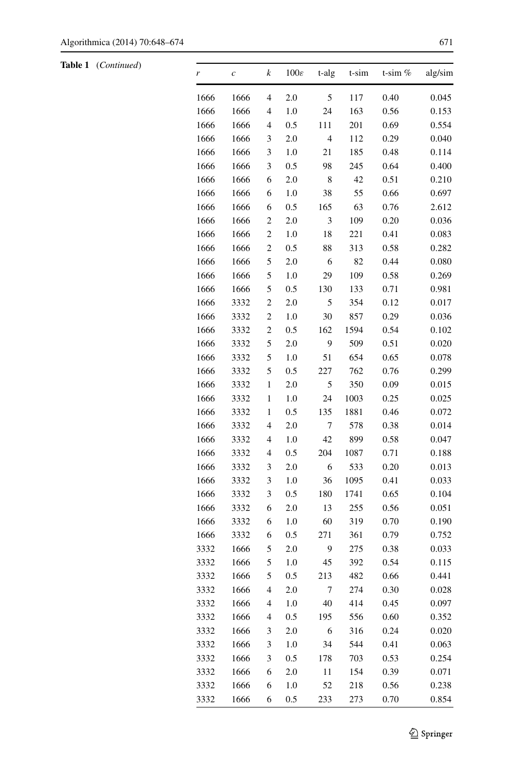**Table 1** (*Continued*)

| r    | $\boldsymbol{c}$ | k                        | $100\varepsilon$ | t-alg          | t-sim | t-sim $%$ | alg/sim |
|------|------------------|--------------------------|------------------|----------------|-------|-----------|---------|
| 1666 | 1666             | $\overline{4}$           | 2.0              | 5              | 117   | 0.40      | 0.045   |
| 1666 | 1666             | 4                        | 1.0              | 24             | 163   | 0.56      | 0.153   |
| 1666 | 1666             | $\overline{4}$           | 0.5              | 111            | 201   | 0.69      | 0.554   |
| 1666 | 1666             | 3                        | 2.0              | $\overline{4}$ | 112   | 0.29      | 0.040   |
| 1666 | 1666             | 3                        | 1.0              | 21             | 185   | 0.48      | 0.114   |
| 1666 | 1666             | 3                        | 0.5              | 98             | 245   | 0.64      | 0.400   |
| 1666 | 1666             | 6                        | 2.0              | 8              | 42    | 0.51      | 0.210   |
| 1666 | 1666             | 6                        | 1.0              | 38             | 55    | 0.66      | 0.697   |
| 1666 | 1666             | 6                        | 0.5              | 165            | 63    | 0.76      | 2.612   |
| 1666 | 1666             | $\overline{c}$           | 2.0              | 3              | 109   | 0.20      | 0.036   |
| 1666 | 1666             | $\overline{c}$           | 1.0              | 18             | 221   | 0.41      | 0.083   |
| 1666 | 1666             | $\overline{c}$           | 0.5              | 88             | 313   | 0.58      | 0.282   |
| 1666 | 1666             | 5                        | 2.0              | 6              | 82    | 0.44      | 0.080   |
| 1666 | 1666             | 5                        | 1.0              | 29             | 109   | 0.58      | 0.269   |
| 1666 | 1666             | 5                        | 0.5              | 130            | 133   | 0.71      | 0.981   |
| 1666 | 3332             | $\overline{c}$           | 2.0              | 5              | 354   | 0.12      | 0.017   |
| 1666 | 3332             | $\overline{\mathbf{c}}$  | 1.0              | 30             | 857   | 0.29      | 0.036   |
| 1666 | 3332             | $\overline{c}$           | 0.5              | 162            | 1594  | 0.54      | 0.102   |
| 1666 | 3332             | 5                        | 2.0              | 9              | 509   | 0.51      | 0.020   |
| 1666 | 3332             | 5                        | 1.0              | 51             | 654   | 0.65      | 0.078   |
| 1666 | 3332             | 5                        | 0.5              | 227            | 762   | 0.76      | 0.299   |
| 1666 | 3332             | $\,1$                    | 2.0              | 5              | 350   | 0.09      | 0.015   |
| 1666 | 3332             | $\,1$                    | 1.0              | 24             | 1003  | 0.25      | 0.025   |
| 1666 | 3332             | 1                        | 0.5              | 135            | 1881  | 0.46      | 0.072   |
| 1666 | 3332             | $\overline{\mathcal{L}}$ | 2.0              | 7              | 578   | 0.38      | 0.014   |
| 1666 | 3332             | $\overline{4}$           | 1.0              | 42             | 899   | 0.58      | 0.047   |
| 1666 | 3332             | $\overline{4}$           | 0.5              | 204            | 1087  | 0.71      | 0.188   |
| 1666 | 3332             | 3                        | 2.0              | 6              | 533   | 0.20      | 0.013   |
| 1666 | 3332             | 3                        | 1.0              | 36             | 1095  | 0.41      | 0.033   |
| 1666 | 3332             | 3                        | 0.5              | 180            | 1741  | 0.65      | 0.104   |
| 1666 | 3332             | 6                        | 2.0              | 13             | 255   | 0.56      | 0.051   |
| 1666 | 3332             | 6                        | 1.0              | 60             | 319   | 0.70      | 0.190   |
| 1666 | 3332             | 6                        | 0.5              | 271            | 361   | 0.79      | 0.752   |
| 3332 | 1666             | 5                        | 2.0              | 9              | 275   | 0.38      | 0.033   |
| 3332 | 1666             | 5                        | 1.0              | 45             | 392   | 0.54      | 0.115   |
| 3332 | 1666             | 5                        | 0.5              | 213            | 482   | 0.66      | 0.441   |
| 3332 | 1666             | 4                        | 2.0              | 7              | 274   | 0.30      | 0.028   |
| 3332 | 1666             | 4                        | 1.0              | 40             | 414   | 0.45      | 0.097   |
| 3332 | 1666             | $\overline{\mathcal{L}}$ | 0.5              | 195            | 556   | 0.60      | 0.352   |
| 3332 | 1666             | 3                        | 2.0              | 6              | 316   | 0.24      | 0.020   |
| 3332 | 1666             | 3                        | 1.0              | 34             | 544   | 0.41      | 0.063   |
| 3332 | 1666             | 3                        | 0.5              | 178            | 703   | 0.53      | 0.254   |
| 3332 | 1666             | 6                        | 2.0              | 11             | 154   | 0.39      | 0.071   |
| 3332 | 1666             | 6                        | 1.0              | 52             | 218   | 0.56      | 0.238   |
| 3332 | 1666             | 6                        | 0.5              | 233            | 273   | 0.70      | 0.854   |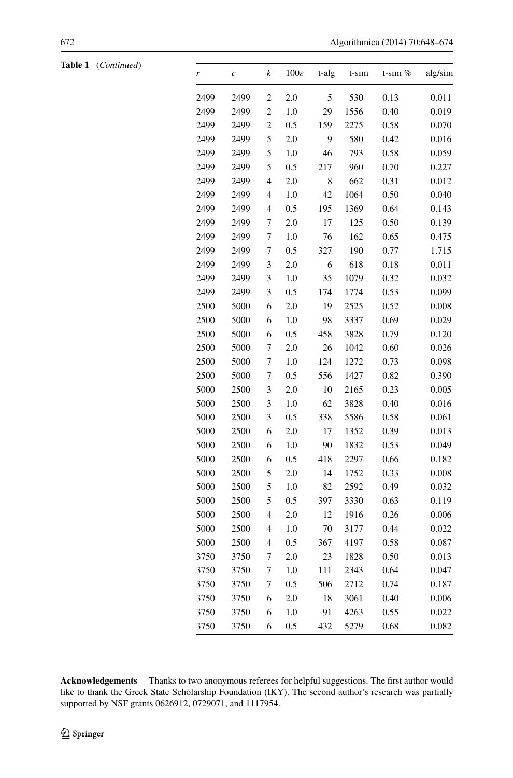| <b>Table 1</b> ( <i>Continued</i> ) | r    | $\mathcal{C}_{0}$ | k              | $100\varepsilon$ | t-alg          | t-sim | t-sim $%$ | alg/sim |
|-------------------------------------|------|-------------------|----------------|------------------|----------------|-------|-----------|---------|
|                                     | 2499 | 2499              | 2              | 2.0              | 5              | 530   | 0.13      | 0.011   |
|                                     | 2499 | 2499              | $\mathfrak{2}$ | 1.0              | 29             | 1556  | 0.40      | 0.019   |
|                                     | 2499 | 2499              | $\mathfrak{2}$ | 0.5              | 159            | 2275  | 0.58      | 0.070   |
|                                     | 2499 | 2499              | 5              | $2.0\,$          | $\overline{9}$ | 580   | 0.42      | 0.016   |
|                                     | 2499 | 2499              | 5              | 1.0              | 46             | 793   | 0.58      | 0.059   |
|                                     | 2499 | 2499              | 5              | $0.5\,$          | 217            | 960   | 0.70      | 0.227   |
|                                     | 2499 | 2499              | 4              | 2.0              | $\,$ 8 $\,$    | 662   | 0.31      | 0.012   |
|                                     | 2499 | 2499              | 4              | $1.0\,$          | 42             | 1064  | 0.50      | 0.040   |
|                                     | 2499 | 2499              | 4              | 0.5              | 195            | 1369  | 0.64      | 0.143   |
|                                     | 2499 | 2499              | 7              | 2.0              | 17             | 125   | 0.50      | 0.139   |
|                                     | 2499 | 2499              | 7              | $1.0\,$          | 76             | 162   | 0.65      | 0.475   |
|                                     | 2499 | 2499              | 7              | 0.5              | 327            | 190   | 0.77      | 1.715   |
|                                     | 2499 | 2499              | 3              | $2.0\,$          | 6              | 618   | 0.18      | 0.011   |
|                                     | 2499 | 2499              | 3              | $1.0\,$          | 35             | 1079  | 0.32      | 0.032   |
|                                     | 2499 | 2499              | 3              | 0.5              | 174            | 1774  | 0.53      | 0.099   |
|                                     | 2500 | 5000              | 6              | 2.0              | 19             | 2525  | 0.52      | 0.008   |
|                                     | 2500 | 5000              | 6              | 1.0              | 98             | 3337  | 0.69      | 0.029   |
|                                     | 2500 | 5000              | 6              | 0.5              | 458            | 3828  | 0.79      | 0.120   |
|                                     | 2500 | 5000              | 7              | 2.0              | 26             | 1042  | 0.60      | 0.026   |
|                                     | 2500 | 5000              | 7              | $1.0\,$          | 124            | 1272  | 0.73      | 0.098   |
|                                     | 2500 | 5000              | 7              | 0.5              | 556            | 1427  | 0.82      | 0.390   |
|                                     | 5000 | 2500              | 3              | 2.0              | $10\,$         | 2165  | 0.23      | 0.005   |
|                                     | 5000 | 2500              | 3              | 1.0              | 62             | 3828  | 0.40      | 0.016   |
|                                     | 5000 | 2500              | 3              | 0.5              | 338            | 5586  | 0.58      | 0.061   |
|                                     | 5000 | 2500              | 6              | 2.0              | 17             | 1352  | 0.39      | 0.013   |
|                                     | 5000 | 2500              | 6              | $1.0\,$          | 90             | 1832  | 0.53      | 0.049   |
|                                     | 5000 | 2500              | 6              | 0.5              | 418            | 2297  | 0.66      | 0.182   |
|                                     | 5000 | 2500              | 5              | 2.0              | 14             | 1752  | 0.33      | 0.008   |
|                                     | 5000 | 2500              | 5              | 1.0              | 82             | 2592  | 0.49      | 0.032   |
|                                     | 5000 | 2500              | 5              | 0.5              | 397            | 3330  | 0.63      | 0.119   |
|                                     | 5000 | 2500              | 4              | 2.0              | 12             | 1916  | 0.26      | 0.006   |
|                                     | 5000 | 2500              | 4              | $1.0\,$          | 70             | 3177  | 0.44      | 0.022   |
|                                     | 5000 | 2500              | 4              | 0.5              | 367            | 4197  | 0.58      | 0.087   |
|                                     | 3750 | 3750              | 7              | 2.0              | 23             | 1828  | 0.50      | 0.013   |
|                                     | 3750 | 3750              | 7              | 1.0              | 111            | 2343  | 0.64      | 0.047   |
|                                     | 3750 | 3750              | 7              | 0.5              | 506            | 2712  | 0.74      | 0.187   |
|                                     | 3750 | 3750              | 6              | $2.0\,$          | 18             | 3061  | 0.40      | 0.006   |
|                                     | 3750 | 3750              | 6              | 1.0              | 91             | 4263  | 0.55      | 0.022   |
|                                     | 3750 | 3750              | 6              | 0.5              | 432            | 5279  | 0.68      | 0.082   |

**Acknowledgements** Thanks to two anonymous referees for helpful suggestions. The first author would like to thank the Greek State Scholarship Foundation (IKY). The second author's research was partially supported by NSF grants 0626912, 0729071, and 1117954.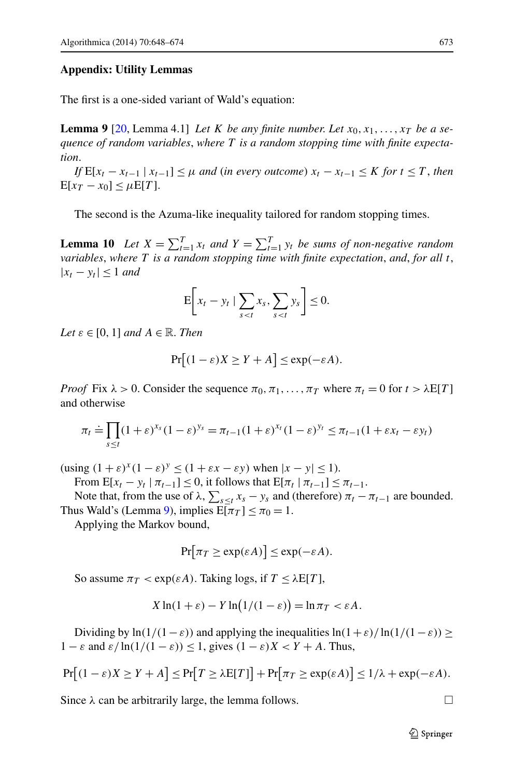## <span id="page-25-0"></span>**Appendix: Utility Lemmas**

The first is a one-sided variant of Wald's equation:

<span id="page-25-1"></span>**Lemma 9** [[20,](#page-26-20) Lemma 4.1] *Let K be any finite number. Let*  $x_0, x_1, \ldots, x_T$  *be a sequence of random variables*, *where T is a random stopping time with finite expectation*.

*If*  $E[x_t - x_{t-1} | x_{t-1}] \leq \mu$  *and* (*in every outcome*)  $x_t - x_{t-1} \leq K$  *for*  $t \leq T$ , *then*  $E[x_T - x_0] \leq \mu E[T]$ .

The second is the Azuma-like inequality tailored for random stopping times.

**Lemma 10** *Let*  $X = \sum_{t=1}^{T} x_t$  *and*  $Y = \sum_{t=1}^{T} y_t$  *be sums of non-negative random variables*, *where T is a random stopping time with finite expectation*, *and*, *for all t*,  $|x_t - y_t|$  ≤ 1 *and* 

$$
\mathbf{E}\bigg[x_t - y_t \mid \sum_{s < t} x_s, \sum_{s < t} y_s\bigg] \leq 0.
$$

*Let*  $\varepsilon \in [0, 1]$  *and*  $A \in \mathbb{R}$ *. Then* 

$$
\Pr[(1 - \varepsilon)X \ge Y + A] \le \exp(-\varepsilon A).
$$

*Proof* Fix  $\lambda > 0$ . Consider the sequence  $\pi_0, \pi_1, \ldots, \pi_T$  where  $\pi_t = 0$  for  $t > \lambda E[T]$ and otherwise

$$
\pi_t \doteq \prod_{s \le t} (1+\varepsilon)^{x_s} (1-\varepsilon)^{y_s} = \pi_{t-1} (1+\varepsilon)^{x_t} (1-\varepsilon)^{y_t} \le \pi_{t-1} (1+\varepsilon x_t - \varepsilon y_t)
$$

 $(\text{using } (1 + \varepsilon)^x (1 - \varepsilon)^y \le (1 + \varepsilon x - \varepsilon y) \text{ when } |x - y| \le 1).$ 

From  $E[x_t - y_t | \pi_{t-1}] \leq 0$ , it follows that  $E[\pi_t | \pi_{t-1}] \leq \pi_{t-1}$ .

Note that, from the use of  $\lambda$ ,  $\sum_{s \leq t} x_s - y_s$  and (therefore)  $\pi_t - \pi_{t-1}$  are bounded. Thus Wald's (Lemma [9](#page-25-0)), implies  $E[\pi_T] \le \pi_0 = 1$ .

Applying the Markov bound,

$$
\Pr[\pi_T \ge \exp(\varepsilon A)] \le \exp(-\varepsilon A).
$$

So assume  $\pi_T < \exp(\varepsilon A)$ . Taking logs, if  $T \leq \lambda E[T]$ ,

$$
X\ln(1+\varepsilon) - Y\ln(1/(1-\varepsilon)) = \ln \pi_T < \varepsilon A.
$$

Dividing by  $\ln(1/(1-\varepsilon))$  and applying the inequalities  $\ln(1+\varepsilon)/\ln(1/(1-\varepsilon))$  >  $1 - \varepsilon$  and  $\varepsilon / \ln(1/(1 - \varepsilon)) \leq 1$ , gives  $(1 - \varepsilon)X < Y + A$ . Thus,

$$
\Pr[(1-\varepsilon)X \ge Y + A] \le \Pr[T \ge \lambda E[T]] + \Pr[\pi_T \ge \exp(\varepsilon A)] \le 1/\lambda + \exp(-\varepsilon A).
$$

Since  $\lambda$  can be arbitrarily large, the lemma follows.  $\Box$ 

 $\mathcal{D}$  Springer